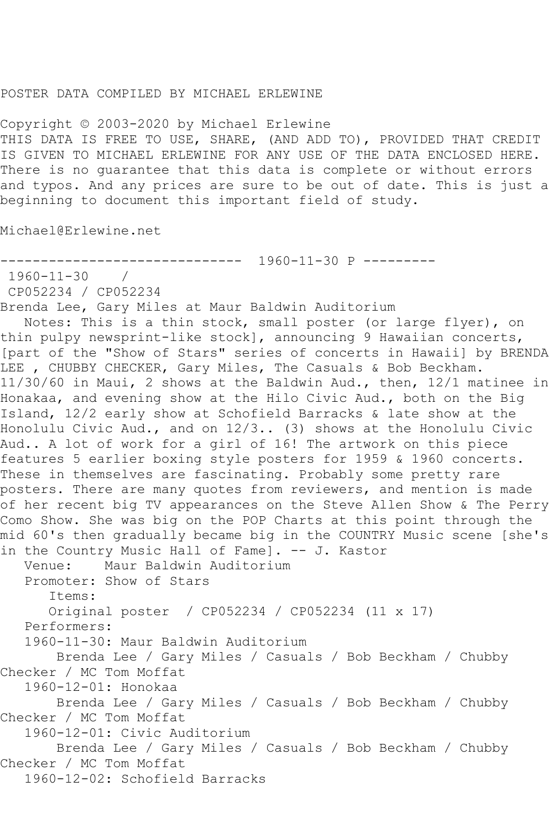## POSTER DATA COMPILED BY MICHAEL ERLEWINE

Copyright © 2003-2020 by Michael Erlewine THIS DATA IS FREE TO USE, SHARE, (AND ADD TO), PROVIDED THAT CREDIT IS GIVEN TO MICHAEL ERLEWINE FOR ANY USE OF THE DATA ENCLOSED HERE. There is no guarantee that this data is complete or without errors and typos. And any prices are sure to be out of date. This is just a beginning to document this important field of study.

Michael@Erlewine.net

```
------------------------------ 1960-11-30 P ---------
```

```
1960-11-30 /
```
CP052234 / CP052234

Brenda Lee, Gary Miles at Maur Baldwin Auditorium

 Notes: This is a thin stock, small poster (or large flyer), on thin pulpy newsprint-like stock], announcing 9 Hawaiian concerts, [part of the "Show of Stars" series of concerts in Hawaii] by BRENDA LEE, CHUBBY CHECKER, Gary Miles, The Casuals & Bob Beckham. 11/30/60 in Maui, 2 shows at the Baldwin Aud., then, 12/1 matinee in Honakaa, and evening show at the Hilo Civic Aud., both on the Big Island, 12/2 early show at Schofield Barracks & late show at the Honolulu Civic Aud., and on 12/3.. (3) shows at the Honolulu Civic Aud.. A lot of work for a girl of 16! The artwork on this piece features 5 earlier boxing style posters for 1959 & 1960 concerts. These in themselves are fascinating. Probably some pretty rare posters. There are many quotes from reviewers, and mention is made of her recent big TV appearances on the Steve Allen Show & The Perry Como Show. She was big on the POP Charts at this point through the mid 60's then gradually became big in the COUNTRY Music scene [she's

in the Country Music Hall of Fame]. -- J. Kastor Venue: Maur Baldwin Auditorium Promoter: Show of Stars Items: Original poster / CP052234 / CP052234 (11 x 17) Performers: 1960-11-30: Maur Baldwin Auditorium Brenda Lee / Gary Miles / Casuals / Bob Beckham / Chubby Checker / MC Tom Moffat 1960-12-01: Honokaa Brenda Lee / Gary Miles / Casuals / Bob Beckham / Chubby Checker / MC Tom Moffat 1960-12-01: Civic Auditorium Brenda Lee / Gary Miles / Casuals / Bob Beckham / Chubby Checker / MC Tom Moffat

1960-12-02: Schofield Barracks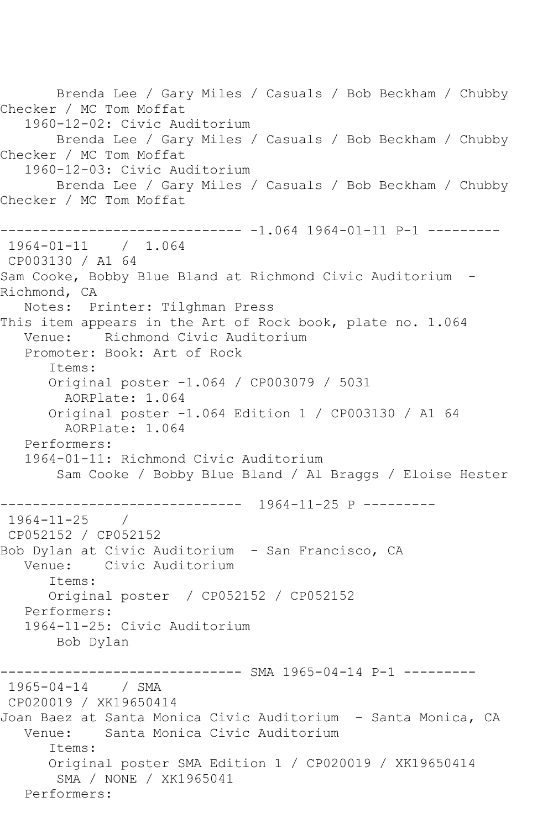Brenda Lee / Gary Miles / Casuals / Bob Beckham / Chubby Checker / MC Tom Moffat 1960-12-02: Civic Auditorium Brenda Lee / Gary Miles / Casuals / Bob Beckham / Chubby Checker / MC Tom Moffat 1960-12-03: Civic Auditorium Brenda Lee / Gary Miles / Casuals / Bob Beckham / Chubby Checker / MC Tom Moffat ------------------------------ -1.064 1964-01-11 P-1 --------- 1964-01-11 / 1.064 CP003130 / A1 64 Sam Cooke, Bobby Blue Bland at Richmond Civic Auditorium - Richmond, CA Notes: Printer: Tilghman Press This item appears in the Art of Rock book, plate no. 1.064 Venue: Richmond Civic Auditorium Promoter: Book: Art of Rock Items: Original poster -1.064 / CP003079 / 5031 AORPlate: 1.064 Original poster -1.064 Edition 1 / CP003130 / A1 64 AORPlate: 1.064 Performers: 1964-01-11: Richmond Civic Auditorium Sam Cooke / Bobby Blue Bland / Al Braggs / Eloise Hester ------------------------------ 1964-11-25 P --------- 1964-11-25 / CP052152 / CP052152 Bob Dylan at Civic Auditorium - San Francisco, CA Venue: Civic Auditorium Items: Original poster / CP052152 / CP052152 Performers: 1964-11-25: Civic Auditorium Bob Dylan ------------------------------ SMA 1965-04-14 P-1 --------- 1965-04-14 / SMA CP020019 / XK19650414 Joan Baez at Santa Monica Civic Auditorium - Santa Monica, CA Venue: Santa Monica Civic Auditorium Items: Original poster SMA Edition 1 / CP020019 / XK19650414 SMA / NONE / XK1965041 Performers: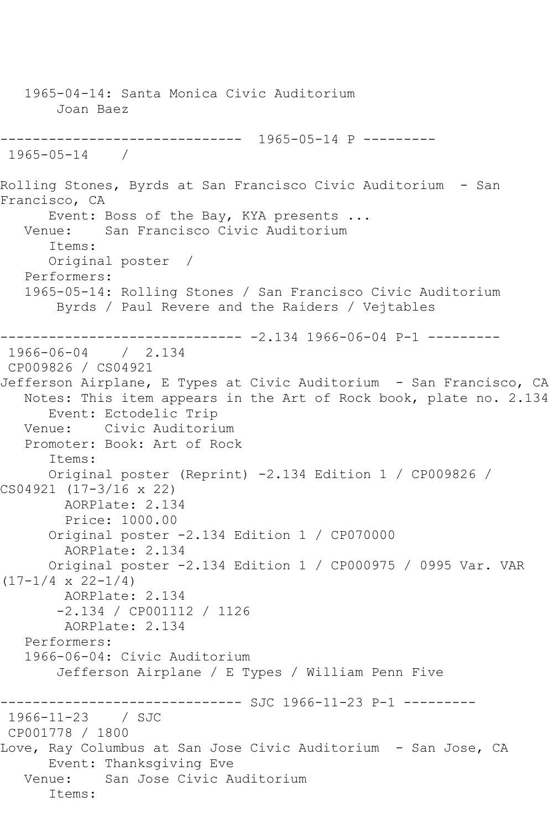1965-04-14: Santa Monica Civic Auditorium Joan Baez ------------------------------ 1965-05-14 P --------- 1965-05-14 / Rolling Stones, Byrds at San Francisco Civic Auditorium - San Francisco, CA Event: Boss of the Bay, KYA presents ... Venue: San Francisco Civic Auditorium Items: Original poster / Performers: 1965-05-14: Rolling Stones / San Francisco Civic Auditorium Byrds / Paul Revere and the Raiders / Vejtables ------------------------------ -2.134 1966-06-04 P-1 --------- 1966-06-04 / 2.134 CP009826 / CS04921 Jefferson Airplane, E Types at Civic Auditorium - San Francisco, CA Notes: This item appears in the Art of Rock book, plate no. 2.134 Event: Ectodelic Trip Venue: Civic Auditorium Promoter: Book: Art of Rock Items: Original poster (Reprint) -2.134 Edition 1 / CP009826 / CS04921 (17-3/16 x 22) AORPlate: 2.134 Price: 1000.00 Original poster -2.134 Edition 1 / CP070000 AORPlate: 2.134 Original poster -2.134 Edition 1 / CP000975 / 0995 Var. VAR  $(17-1/4 \times 22-1/4)$  AORPlate: 2.134 -2.134 / CP001112 / 1126 AORPlate: 2.134 Performers: 1966-06-04: Civic Auditorium Jefferson Airplane / E Types / William Penn Five ---------- SJC 1966-11-23 P-1 ---------1966-11-23 / SJC CP001778 / 1800 Love, Ray Columbus at San Jose Civic Auditorium - San Jose, CA Event: Thanksgiving Eve Venue: San Jose Civic Auditorium Items: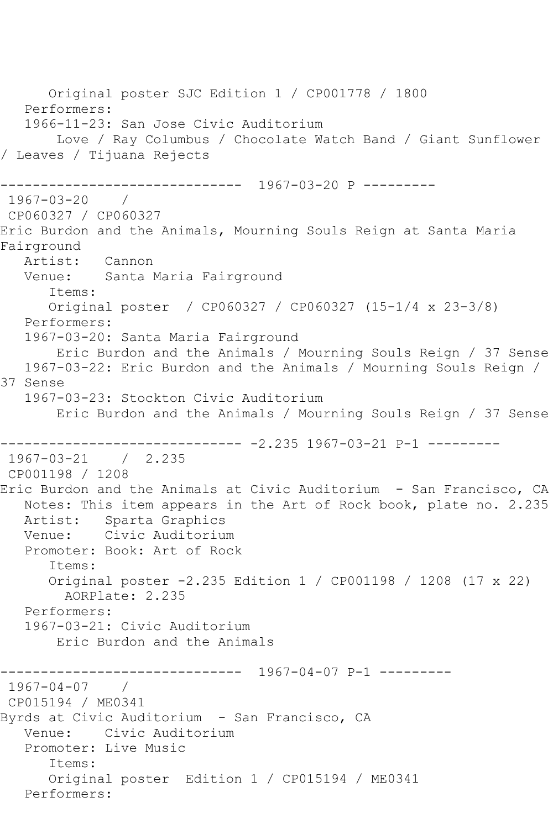Original poster SJC Edition 1 / CP001778 / 1800 Performers: 1966-11-23: San Jose Civic Auditorium Love / Ray Columbus / Chocolate Watch Band / Giant Sunflower / Leaves / Tijuana Rejects ------------------------------ 1967-03-20 P --------- 1967-03-20 / CP060327 / CP060327 Eric Burdon and the Animals, Mourning Souls Reign at Santa Maria Fairground Artist: Cannon<br>Venue: Santal Santa Maria Fairground Items: Original poster / CP060327 / CP060327 (15-1/4 x 23-3/8) Performers: 1967-03-20: Santa Maria Fairground Eric Burdon and the Animals / Mourning Souls Reign / 37 Sense 1967-03-22: Eric Burdon and the Animals / Mourning Souls Reign / 37 Sense 1967-03-23: Stockton Civic Auditorium Eric Burdon and the Animals / Mourning Souls Reign / 37 Sense ------------------------------ -2.235 1967-03-21 P-1 --------- 1967-03-21 / 2.235 CP001198 / 1208 Eric Burdon and the Animals at Civic Auditorium - San Francisco, CA Notes: This item appears in the Art of Rock book, plate no. 2.235 Artist: Sparta Graphics Venue: Civic Auditorium Promoter: Book: Art of Rock Items: Original poster -2.235 Edition 1 / CP001198 / 1208 (17 x 22) AORPlate: 2.235 Performers: 1967-03-21: Civic Auditorium Eric Burdon and the Animals ------------------------------ 1967-04-07 P-1 --------- 1967-04-07 / CP015194 / ME0341 Byrds at Civic Auditorium - San Francisco, CA Venue: Civic Auditorium Promoter: Live Music Items: Original poster Edition 1 / CP015194 / ME0341 Performers: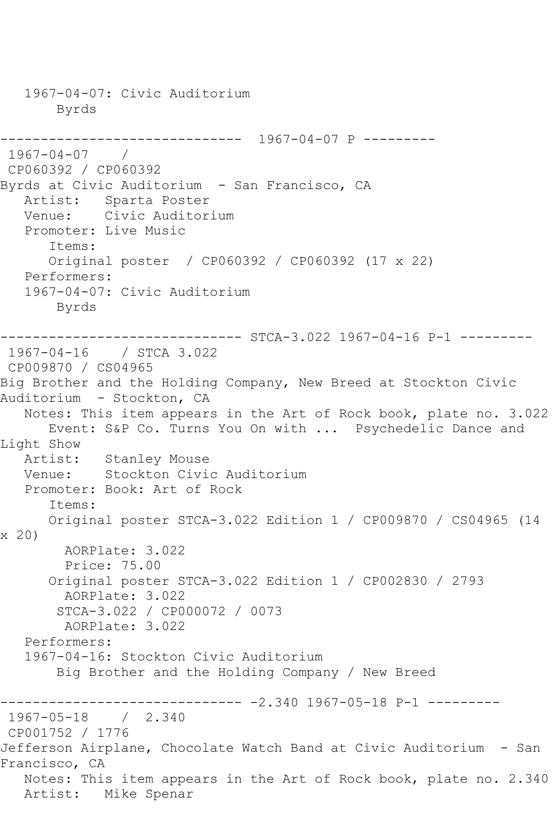1967-04-07: Civic Auditorium Byrds ------------------------------ 1967-04-07 P ---------  $1967 - 04 - 07$ CP060392 / CP060392 Byrds at Civic Auditorium - San Francisco, CA Artist: Sparta Poster Venue: Civic Auditorium Promoter: Live Music Items: Original poster / CP060392 / CP060392 (17 x 22) Performers: 1967-04-07: Civic Auditorium Byrds ------------------------------ STCA-3.022 1967-04-16 P-1 --------- 1967-04-16 / STCA 3.022 CP009870 / CS04965 Big Brother and the Holding Company, New Breed at Stockton Civic Auditorium - Stockton, CA Notes: This item appears in the Art of Rock book, plate no. 3.022 Event: S&P Co. Turns You On with ... Psychedelic Dance and Light Show Artist: Stanley Mouse<br>Venue: Stockton Civio Stockton Civic Auditorium Promoter: Book: Art of Rock Items: Original poster STCA-3.022 Edition 1 / CP009870 / CS04965 (14 x 20) AORPlate: 3.022 Price: 75.00 Original poster STCA-3.022 Edition 1 / CP002830 / 2793 AORPlate: 3.022 STCA-3.022 / CP000072 / 0073 AORPlate: 3.022 Performers: 1967-04-16: Stockton Civic Auditorium Big Brother and the Holding Company / New Breed  $------------2.340 1967-05-18 P-1 --------$ 1967-05-18 / 2.340 CP001752 / 1776 Jefferson Airplane, Chocolate Watch Band at Civic Auditorium - San Francisco, CA Notes: This item appears in the Art of Rock book, plate no. 2.340 Artist: Mike Spenar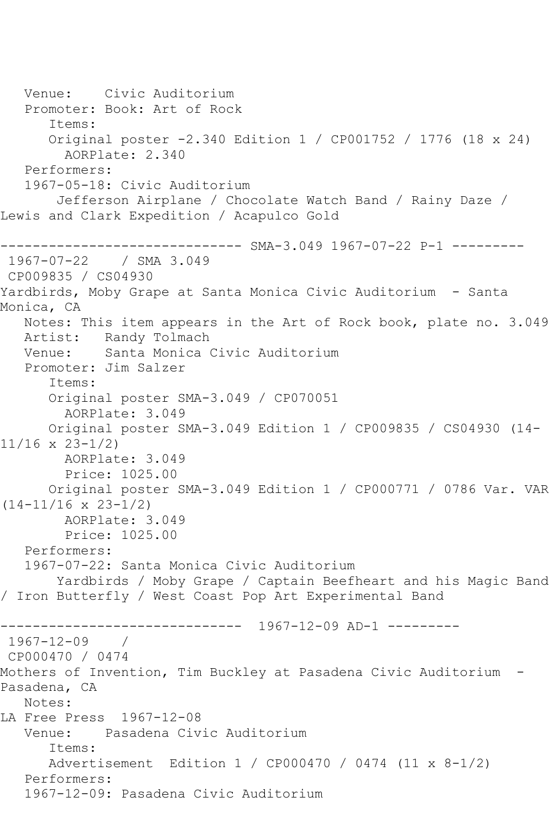Venue: Civic Auditorium Promoter: Book: Art of Rock Items: Original poster -2.340 Edition 1 / CP001752 / 1776 (18 x 24) AORPlate: 2.340 Performers: 1967-05-18: Civic Auditorium Jefferson Airplane / Chocolate Watch Band / Rainy Daze / Lewis and Clark Expedition / Acapulco Gold ------------------------------ SMA-3.049 1967-07-22 P-1 --------- 1967-07-22 / SMA 3.049 CP009835 / CS04930 Yardbirds, Moby Grape at Santa Monica Civic Auditorium - Santa Monica, CA Notes: This item appears in the Art of Rock book, plate no. 3.049 Artist: Randy Tolmach Venue: Santa Monica Civic Auditorium Promoter: Jim Salzer Items: Original poster SMA-3.049 / CP070051 AORPlate: 3.049 Original poster SMA-3.049 Edition 1 / CP009835 / CS04930 (14- 11/16 x 23-1/2) AORPlate: 3.049 Price: 1025.00 Original poster SMA-3.049 Edition 1 / CP000771 / 0786 Var. VAR (14-11/16 x 23-1/2) AORPlate: 3.049 Price: 1025.00 Performers: 1967-07-22: Santa Monica Civic Auditorium Yardbirds / Moby Grape / Captain Beefheart and his Magic Band / Iron Butterfly / West Coast Pop Art Experimental Band ------------------------------ 1967-12-09 AD-1 --------- 1967-12-09 / CP000470 / 0474 Mothers of Invention, Tim Buckley at Pasadena Civic Auditorium - Pasadena, CA Notes: LA Free Press 1967-12-08 Venue: Pasadena Civic Auditorium Items: Advertisement Edition 1 / CP000470 / 0474 (11 x 8-1/2) Performers: 1967-12-09: Pasadena Civic Auditorium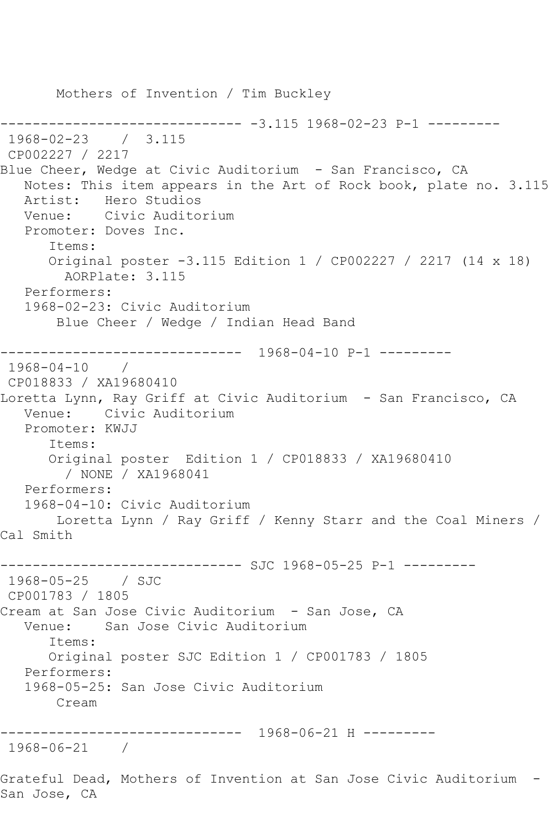Mothers of Invention / Tim Buckley ------------------------------ -3.115 1968-02-23 P-1 --------- 1968-02-23 / 3.115 CP002227 / 2217 Blue Cheer, Wedge at Civic Auditorium - San Francisco, CA Notes: This item appears in the Art of Rock book, plate no. 3.115 Artist: Hero Studios Venue: Civic Auditorium Promoter: Doves Inc. Items: Original poster -3.115 Edition 1 / CP002227 / 2217 (14 x 18) AORPlate: 3.115 Performers: 1968-02-23: Civic Auditorium Blue Cheer / Wedge / Indian Head Band ------------------------------ 1968-04-10 P-1 --------- 1968-04-10 / CP018833 / XA19680410 Loretta Lynn, Ray Griff at Civic Auditorium - San Francisco, CA Venue: Civic Auditorium Promoter: KWJJ Items: Original poster Edition 1 / CP018833 / XA19680410 / NONE / XA1968041 Performers: 1968-04-10: Civic Auditorium Loretta Lynn / Ray Griff / Kenny Starr and the Coal Miners / Cal Smith ------------------------------ SJC 1968-05-25 P-1 --------- 1968-05-25 / SJC CP001783 / 1805 Cream at San Jose Civic Auditorium - San Jose, CA Venue: San Jose Civic Auditorium Items: Original poster SJC Edition 1 / CP001783 / 1805 Performers: 1968-05-25: San Jose Civic Auditorium Cream ------------------------------ 1968-06-21 H --------- 1968-06-21 / Grateful Dead, Mothers of Invention at San Jose Civic Auditorium -

San Jose, CA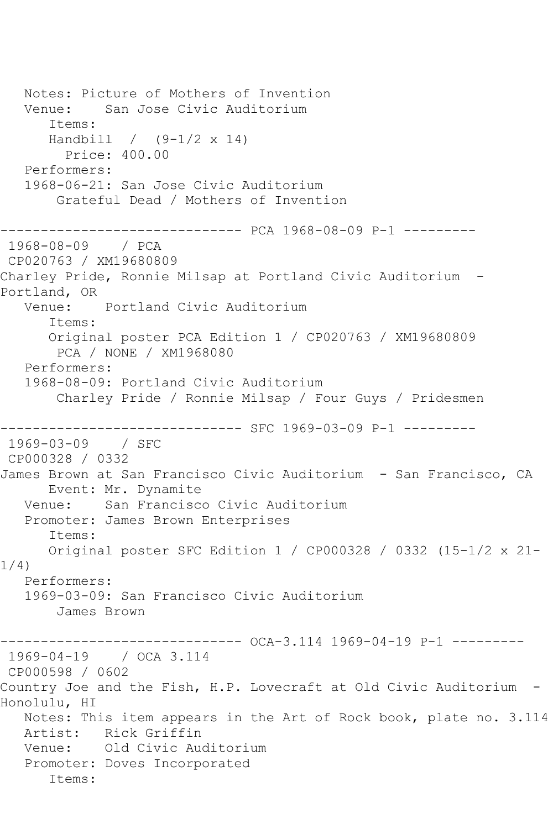Notes: Picture of Mothers of Invention Venue: San Jose Civic Auditorium Items: Handbill / (9-1/2 x 14) Price: 400.00 Performers: 1968-06-21: San Jose Civic Auditorium Grateful Dead / Mothers of Invention ------------------------------ PCA 1968-08-09 P-1 --------- 1968-08-09 / PCA CP020763 / XM19680809 Charley Pride, Ronnie Milsap at Portland Civic Auditorium - Portland, OR Venue: Portland Civic Auditorium Items: Original poster PCA Edition 1 / CP020763 / XM19680809 PCA / NONE / XM1968080 Performers: 1968-08-09: Portland Civic Auditorium Charley Pride / Ronnie Milsap / Four Guys / Pridesmen -------------- SFC 1969-03-09 P-1 ----------1969-03-09 / SFC CP000328 / 0332 James Brown at San Francisco Civic Auditorium - San Francisco, CA Event: Mr. Dynamite Venue: San Francisco Civic Auditorium Promoter: James Brown Enterprises Items: Original poster SFC Edition 1 / CP000328 / 0332 (15-1/2 x 21- 1/4) Performers: 1969-03-09: San Francisco Civic Auditorium James Brown ------------------------------ OCA-3.114 1969-04-19 P-1 --------- 1969-04-19 / OCA 3.114 CP000598 / 0602 Country Joe and the Fish, H.P. Lovecraft at Old Civic Auditorium - Honolulu, HI Notes: This item appears in the Art of Rock book, plate no. 3.114 Artist: Rick Griffin Venue: Old Civic Auditorium Promoter: Doves Incorporated Items: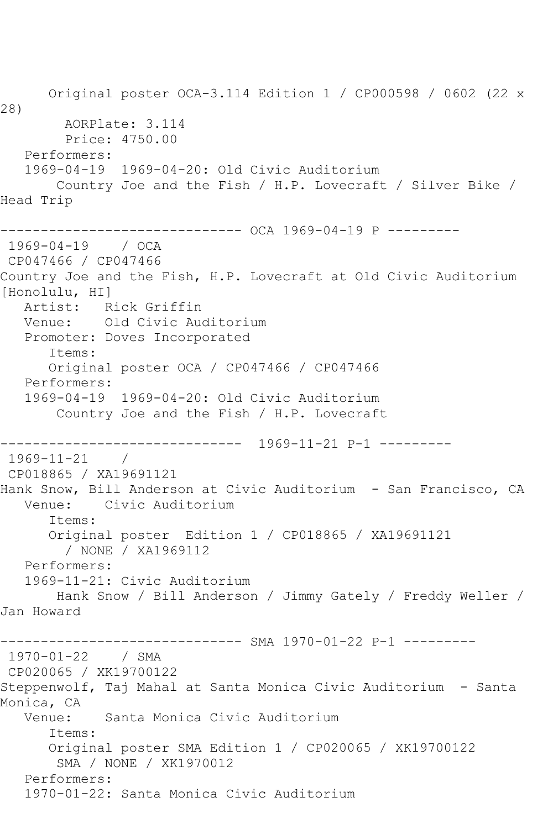Original poster OCA-3.114 Edition 1 / CP000598 / 0602 (22 x 28) AORPlate: 3.114 Price: 4750.00 Performers: 1969-04-19 1969-04-20: Old Civic Auditorium Country Joe and the Fish / H.P. Lovecraft / Silver Bike / Head Trip ------------------------------ OCA 1969-04-19 P --------- 1969-04-19 / OCA CP047466 / CP047466 Country Joe and the Fish, H.P. Lovecraft at Old Civic Auditorium [Honolulu, HI] Artist: Rick Griffin Venue: Old Civic Auditorium Promoter: Doves Incorporated Items: Original poster OCA / CP047466 / CP047466 Performers: 1969-04-19 1969-04-20: Old Civic Auditorium Country Joe and the Fish / H.P. Lovecraft ------------------------------ 1969-11-21 P-1 --------- 1969-11-21 / CP018865 / XA19691121 Hank Snow, Bill Anderson at Civic Auditorium - San Francisco, CA Venue: Civic Auditorium Items: Original poster Edition 1 / CP018865 / XA19691121 / NONE / XA1969112 Performers: 1969-11-21: Civic Auditorium Hank Snow / Bill Anderson / Jimmy Gately / Freddy Weller / Jan Howard ------------------------------ SMA 1970-01-22 P-1 --------- 1970-01-22 / SMA CP020065 / XK19700122 Steppenwolf, Taj Mahal at Santa Monica Civic Auditorium - Santa Monica, CA Venue: Santa Monica Civic Auditorium Items: Original poster SMA Edition 1 / CP020065 / XK19700122 SMA / NONE / XK1970012 Performers: 1970-01-22: Santa Monica Civic Auditorium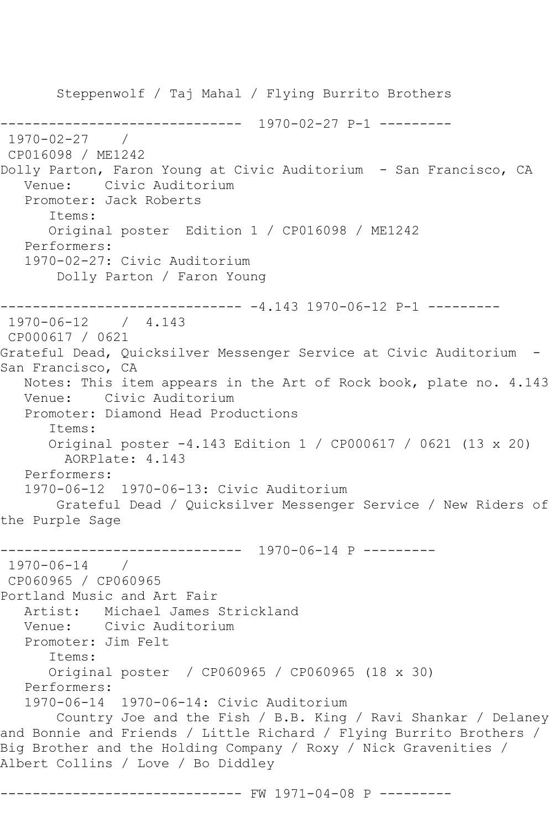Steppenwolf / Taj Mahal / Flying Burrito Brothers ------------------------------ 1970-02-27 P-1 --------- 1970-02-27 / CP016098 / ME1242 Dolly Parton, Faron Young at Civic Auditorium - San Francisco, CA Venue: Civic Auditorium Promoter: Jack Roberts Items: Original poster Edition 1 / CP016098 / ME1242 Performers: 1970-02-27: Civic Auditorium Dolly Parton / Faron Young ------------------------------ -4.143 1970-06-12 P-1 --------- 1970-06-12 / 4.143 CP000617 / 0621 Grateful Dead, Quicksilver Messenger Service at Civic Auditorium - San Francisco, CA Notes: This item appears in the Art of Rock book, plate no. 4.143 Venue: Civic Auditorium Promoter: Diamond Head Productions Items: Original poster -4.143 Edition 1 / CP000617 / 0621 (13 x 20) AORPlate: 4.143 Performers: 1970-06-12 1970-06-13: Civic Auditorium Grateful Dead / Quicksilver Messenger Service / New Riders of the Purple Sage ------------------------------ 1970-06-14 P --------- 1970-06-14 / CP060965 / CP060965 Portland Music and Art Fair Artist: Michael James Strickland Venue: Civic Auditorium Promoter: Jim Felt Items: Original poster / CP060965 / CP060965 (18 x 30) Performers: 1970-06-14 1970-06-14: Civic Auditorium Country Joe and the Fish / B.B. King / Ravi Shankar / Delaney and Bonnie and Friends / Little Richard / Flying Burrito Brothers / Big Brother and the Holding Company / Roxy / Nick Gravenities / Albert Collins / Love / Bo Diddley

------------------------------ FW 1971-04-08 P ---------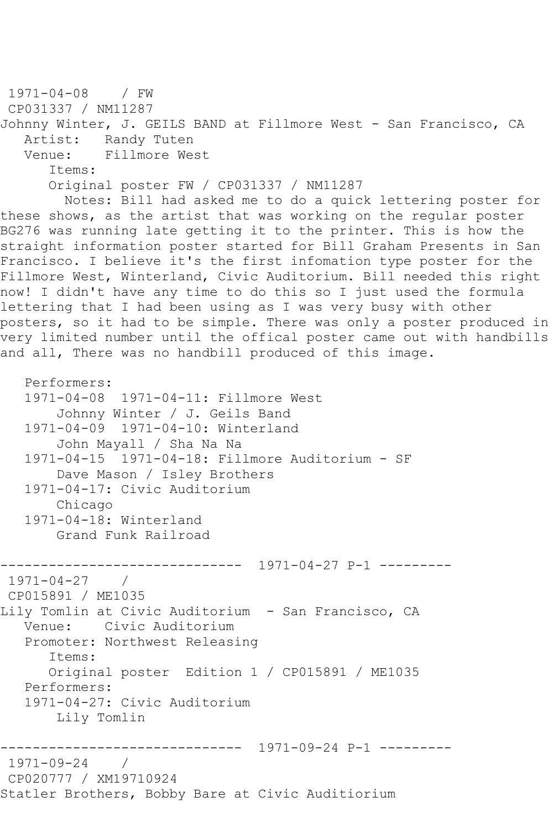```
1971-04-08 / FW 
CP031337 / NM11287
Johnny Winter, J. GEILS BAND at Fillmore West - San Francisco, CA
  Artist: Randy Tuten<br>Venue: Fillmore We
            Fillmore West
       Items:
       Original poster FW / CP031337 / NM11287
         Notes: Bill had asked me to do a quick lettering poster for 
these shows, as the artist that was working on the regular poster
BG276 was running late getting it to the printer. This is how the 
straight information poster started for Bill Graham Presents in San 
Francisco. I believe it's the first infomation type poster for the 
Fillmore West, Winterland, Civic Auditorium. Bill needed this right 
now! I didn't have any time to do this so I just used the formula 
lettering that I had been using as I was very busy with other 
posters, so it had to be simple. There was only a poster produced in
very limited number until the offical poster came out with handbills 
and all, There was no handbill produced of this image.
```

```
 1971-04-08 1971-04-11: Fillmore West
        Johnny Winter / J. Geils Band
    1971-04-09 1971-04-10: Winterland
        John Mayall / Sha Na Na
    1971-04-15 1971-04-18: Fillmore Auditorium - SF
        Dave Mason / Isley Brothers
    1971-04-17: Civic Auditorium
        Chicago
    1971-04-18: Winterland
        Grand Funk Railroad
         ------------------------------ 1971-04-27 P-1 ---------
1971-04-27 / 
CP015891 / ME1035
Lily Tomlin at Civic Auditorium - San Francisco, CA
   Venue: Civic Auditorium
   Promoter: Northwest Releasing
       Items:
       Original poster Edition 1 / CP015891 / ME1035
   Performers:
   1971-04-27: Civic Auditorium
        Lily Tomlin
                  ------------------------------ 1971-09-24 P-1 ---------
1971-09-24 / 
CP020777 / XM19710924
Statler Brothers, Bobby Bare at Civic Auditiorium
```
Performers: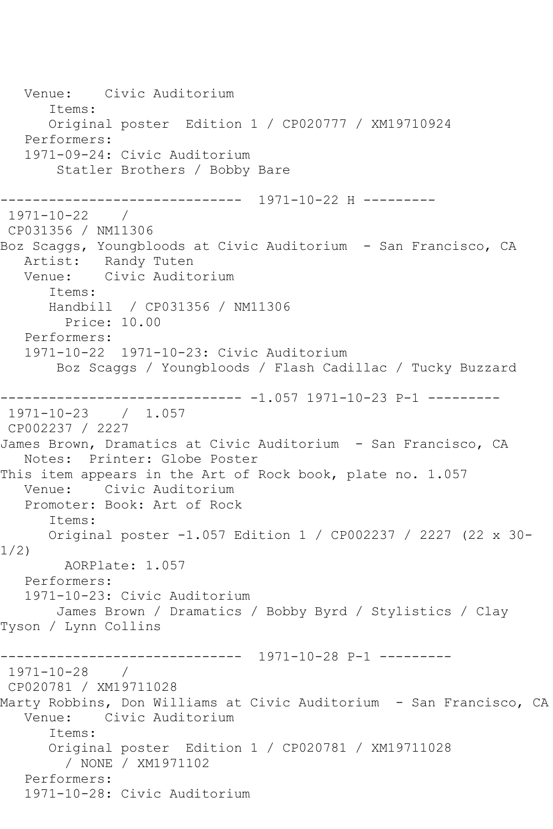Venue: Civic Auditorium Items: Original poster Edition 1 / CP020777 / XM19710924 Performers: 1971-09-24: Civic Auditorium Statler Brothers / Bobby Bare ------------------------------ 1971-10-22 H --------- 1971-10-22 / CP031356 / NM11306 Boz Scaggs, Youngbloods at Civic Auditorium - San Francisco, CA Artist: Randy Tuten Venue: Civic Auditorium Items: Handbill / CP031356 / NM11306 Price: 10.00 Performers: 1971-10-22 1971-10-23: Civic Auditorium Boz Scaggs / Youngbloods / Flash Cadillac / Tucky Buzzard ------------------------------ -1.057 1971-10-23 P-1 --------- 1971-10-23 / 1.057 CP002237 / 2227 James Brown, Dramatics at Civic Auditorium - San Francisco, CA Notes: Printer: Globe Poster This item appears in the Art of Rock book, plate no. 1.057 Venue: Civic Auditorium Promoter: Book: Art of Rock Items: Original poster -1.057 Edition 1 / CP002237 / 2227 (22 x 30- 1/2) AORPlate: 1.057 Performers: 1971-10-23: Civic Auditorium James Brown / Dramatics / Bobby Byrd / Stylistics / Clay Tyson / Lynn Collins ------------------------------ 1971-10-28 P-1 --------- 1971-10-28 / CP020781 / XM19711028 Marty Robbins, Don Williams at Civic Auditorium - San Francisco, CA Venue: Civic Auditorium Items: Original poster Edition 1 / CP020781 / XM19711028 / NONE / XM1971102 Performers: 1971-10-28: Civic Auditorium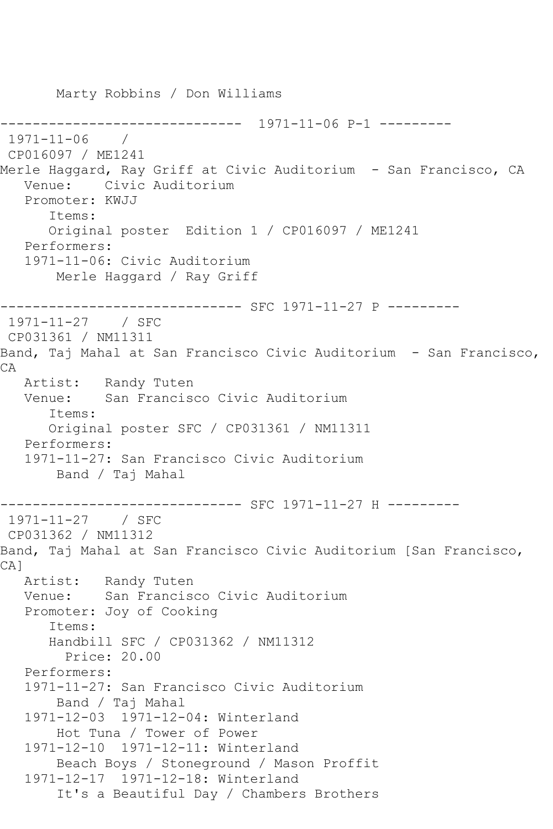Marty Robbins / Don Williams ------------------------------ 1971-11-06 P-1 --------- 1971-11-06 / CP016097 / ME1241 Merle Haggard, Ray Griff at Civic Auditorium - San Francisco, CA Venue: Civic Auditorium Promoter: KWJJ Items: Original poster Edition 1 / CP016097 / ME1241 Performers: 1971-11-06: Civic Auditorium Merle Haggard / Ray Griff ------------------------------ SFC 1971-11-27 P --------- 1971-11-27 / SFC CP031361 / NM11311 Band, Taj Mahal at San Francisco Civic Auditorium - San Francisco, CA Artist: Randy Tuten Venue: San Francisco Civic Auditorium Items: Original poster SFC / CP031361 / NM11311 Performers: 1971-11-27: San Francisco Civic Auditorium Band / Taj Mahal ------------ SFC 1971-11-27 H ----------1971-11-27 / SFC CP031362 / NM11312 Band, Taj Mahal at San Francisco Civic Auditorium [San Francisco, CA] Artist: Randy Tuten<br>Venue: San Francis San Francisco Civic Auditorium Promoter: Joy of Cooking Items: Handbill SFC / CP031362 / NM11312 Price: 20.00 Performers: 1971-11-27: San Francisco Civic Auditorium Band / Taj Mahal 1971-12-03 1971-12-04: Winterland Hot Tuna / Tower of Power 1971-12-10 1971-12-11: Winterland Beach Boys / Stoneground / Mason Proffit 1971-12-17 1971-12-18: Winterland It's a Beautiful Day / Chambers Brothers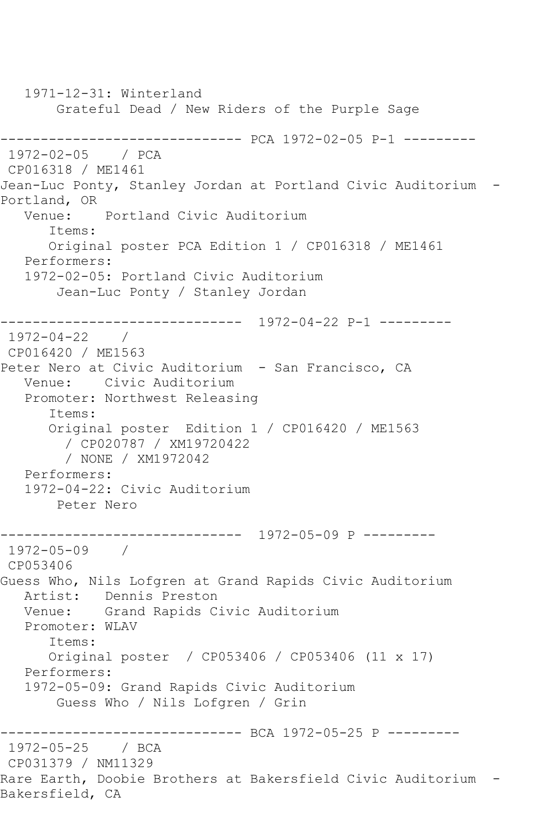1971-12-31: Winterland Grateful Dead / New Riders of the Purple Sage ------------------------------ PCA 1972-02-05 P-1 --------- 1972-02-05 / PCA CP016318 / ME1461 Jean-Luc Ponty, Stanley Jordan at Portland Civic Auditorium - Portland, OR Venue: Portland Civic Auditorium Items: Original poster PCA Edition 1 / CP016318 / ME1461 Performers: 1972-02-05: Portland Civic Auditorium Jean-Luc Ponty / Stanley Jordan ------------------------------ 1972-04-22 P-1 --------- 1972-04-22 / CP016420 / ME1563 Peter Nero at Civic Auditorium - San Francisco, CA Venue: Civic Auditorium Promoter: Northwest Releasing Items: Original poster Edition 1 / CP016420 / ME1563 / CP020787 / XM19720422 / NONE / XM1972042 Performers: 1972-04-22: Civic Auditorium Peter Nero ------------------------------ 1972-05-09 P --------- 1972-05-09 / CP053406 Guess Who, Nils Lofgren at Grand Rapids Civic Auditorium Artist: Dennis Preston Venue: Grand Rapids Civic Auditorium Promoter: WLAV Items: Original poster / CP053406 / CP053406 (11 x 17) Performers: 1972-05-09: Grand Rapids Civic Auditorium Guess Who / Nils Lofgren / Grin ------------------------------- BCA 1972-05-25 P ---------<br>1972-05-25 / BCA 1972-05-25 CP031379 / NM11329 Rare Earth, Doobie Brothers at Bakersfield Civic Auditorium - Bakersfield, CA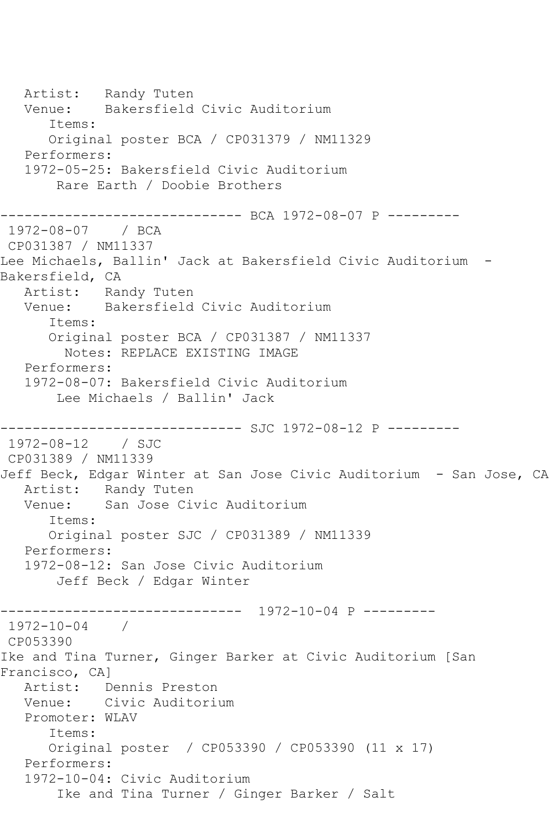Artist: Randy Tuten Venue: Bakersfield Civic Auditorium Items: Original poster BCA / CP031379 / NM11329 Performers: 1972-05-25: Bakersfield Civic Auditorium Rare Earth / Doobie Brothers ------------------------------ BCA 1972-08-07 P --------- 1972-08-07 / BCA CP031387 / NM11337 Lee Michaels, Ballin' Jack at Bakersfield Civic Auditorium - Bakersfield, CA Artist: Randy Tuten Venue: Bakersfield Civic Auditorium Items: Original poster BCA / CP031387 / NM11337 Notes: REPLACE EXISTING IMAGE Performers: 1972-08-07: Bakersfield Civic Auditorium Lee Michaels / Ballin' Jack ------------------------------ SJC 1972-08-12 P --------- 1972-08-12 / SJC CP031389 / NM11339 Jeff Beck, Edgar Winter at San Jose Civic Auditorium - San Jose, CA Artist: Randy Tuten<br>Venue: San Jose Ci San Jose Civic Auditorium Items: Original poster SJC / CP031389 / NM11339 Performers: 1972-08-12: San Jose Civic Auditorium Jeff Beck / Edgar Winter ------------------------------ 1972-10-04 P --------- 1972-10-04 / CP053390 Ike and Tina Turner, Ginger Barker at Civic Auditorium [San Francisco, CA] Artist: Dennis Preston Venue: Civic Auditorium Promoter: WLAV Items: Original poster / CP053390 / CP053390 (11 x 17) Performers: 1972-10-04: Civic Auditorium Ike and Tina Turner / Ginger Barker / Salt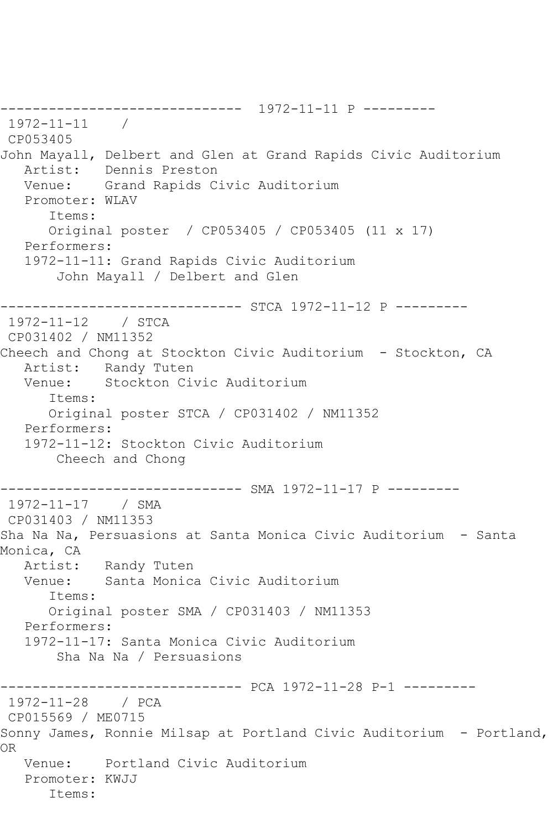------------------------------ 1972-11-11 P --------- 1972-11-11 / CP053405 John Mayall, Delbert and Glen at Grand Rapids Civic Auditorium Artist: Dennis Preston Venue: Grand Rapids Civic Auditorium Promoter: WLAV Items: Original poster / CP053405 / CP053405 (11 x 17) Performers: 1972-11-11: Grand Rapids Civic Auditorium John Mayall / Delbert and Glen ------------------------------ STCA 1972-11-12 P --------- 1972-11-12 / STCA CP031402 / NM11352 Cheech and Chong at Stockton Civic Auditorium - Stockton, CA Artist: Randy Tuten<br>Venue: Stockton Ci Stockton Civic Auditorium Items: Original poster STCA / CP031402 / NM11352 Performers: 1972-11-12: Stockton Civic Auditorium Cheech and Chong ------------------------------ SMA 1972-11-17 P --------- 1972-11-17 / SMA CP031403 / NM11353 Sha Na Na, Persuasions at Santa Monica Civic Auditorium - Santa Monica, CA Artist: Randy Tuten<br>Venue: Santa Monica Santa Monica Civic Auditorium Items: Original poster SMA / CP031403 / NM11353 Performers: 1972-11-17: Santa Monica Civic Auditorium Sha Na Na / Persuasions ------------------------------ PCA 1972-11-28 P-1 --------- 1972-11-28 / PCA CP015569 / ME0715 Sonny James, Ronnie Milsap at Portland Civic Auditorium - Portland, OR Venue: Portland Civic Auditorium Promoter: KWJJ Items: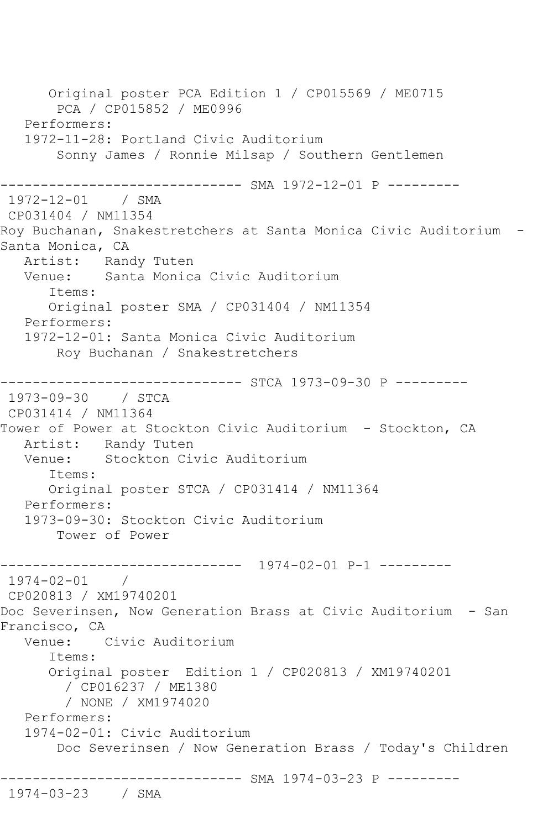Original poster PCA Edition 1 / CP015569 / ME0715 PCA / CP015852 / ME0996 Performers: 1972-11-28: Portland Civic Auditorium Sonny James / Ronnie Milsap / Southern Gentlemen ------------------------------ SMA 1972-12-01 P --------- 1972-12-01 / SMA CP031404 / NM11354 Roy Buchanan, Snakestretchers at Santa Monica Civic Auditorium - Santa Monica, CA Artist: Randy Tuten<br>Venue: Santa Monica Santa Monica Civic Auditorium Items: Original poster SMA / CP031404 / NM11354 Performers: 1972-12-01: Santa Monica Civic Auditorium Roy Buchanan / Snakestretchers ------------------------------ STCA 1973-09-30 P --------- 1973-09-30 / STCA CP031414 / NM11364 Tower of Power at Stockton Civic Auditorium - Stockton, CA Artist: Randy Tuten Venue: Stockton Civic Auditorium Items: Original poster STCA / CP031414 / NM11364 Performers: 1973-09-30: Stockton Civic Auditorium Tower of Power ------------------------------ 1974-02-01 P-1 --------- 1974-02-01 / CP020813 / XM19740201 Doc Severinsen, Now Generation Brass at Civic Auditorium - San Francisco, CA Venue: Civic Auditorium Items: Original poster Edition 1 / CP020813 / XM19740201 / CP016237 / ME1380 / NONE / XM1974020 Performers: 1974-02-01: Civic Auditorium Doc Severinsen / Now Generation Brass / Today's Children ------------------------------ SMA 1974-03-23 P --------- 1974-03-23 / SMA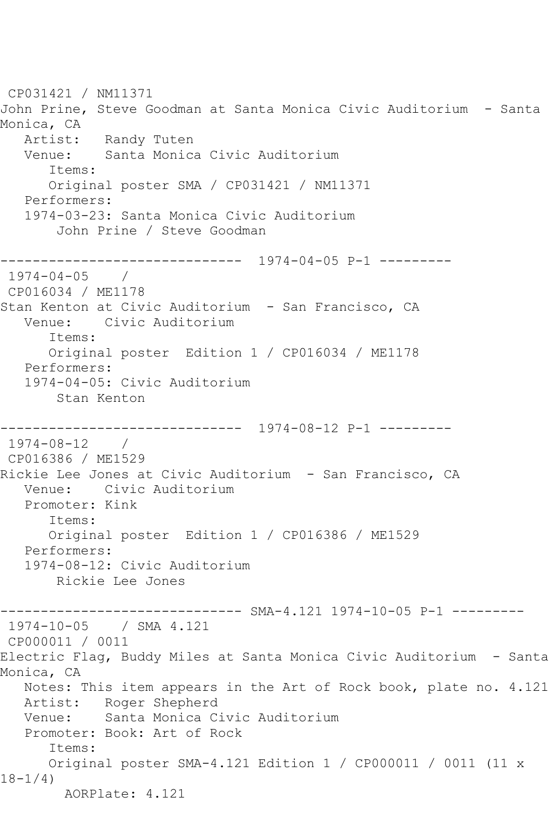CP031421 / NM11371 John Prine, Steve Goodman at Santa Monica Civic Auditorium - Santa Monica, CA Artist: Randy Tuten<br>Venue: Santa Monica Santa Monica Civic Auditorium Items: Original poster SMA / CP031421 / NM11371 Performers: 1974-03-23: Santa Monica Civic Auditorium John Prine / Steve Goodman ------------------------------ 1974-04-05 P-1 --------- 1974-04-05 / CP016034 / ME1178 Stan Kenton at Civic Auditorium - San Francisco, CA Venue: Civic Auditorium Items: Original poster Edition 1 / CP016034 / ME1178 Performers: 1974-04-05: Civic Auditorium Stan Kenton ------------------------------ 1974-08-12 P-1 --------- 1974-08-12 / CP016386 / ME1529 Rickie Lee Jones at Civic Auditorium - San Francisco, CA Venue: Civic Auditorium Promoter: Kink Items: Original poster Edition 1 / CP016386 / ME1529 Performers: 1974-08-12: Civic Auditorium Rickie Lee Jones ------- SMA-4.121 1974-10-05 P-1 ---------1974-10-05 / SMA 4.121 CP000011 / 0011 Electric Flag, Buddy Miles at Santa Monica Civic Auditorium - Santa Monica, CA Notes: This item appears in the Art of Rock book, plate no. 4.121 Artist: Roger Shepherd Venue: Santa Monica Civic Auditorium Promoter: Book: Art of Rock Items: Original poster SMA-4.121 Edition 1 / CP000011 / 0011 (11 x 18-1/4) AORPlate: 4.121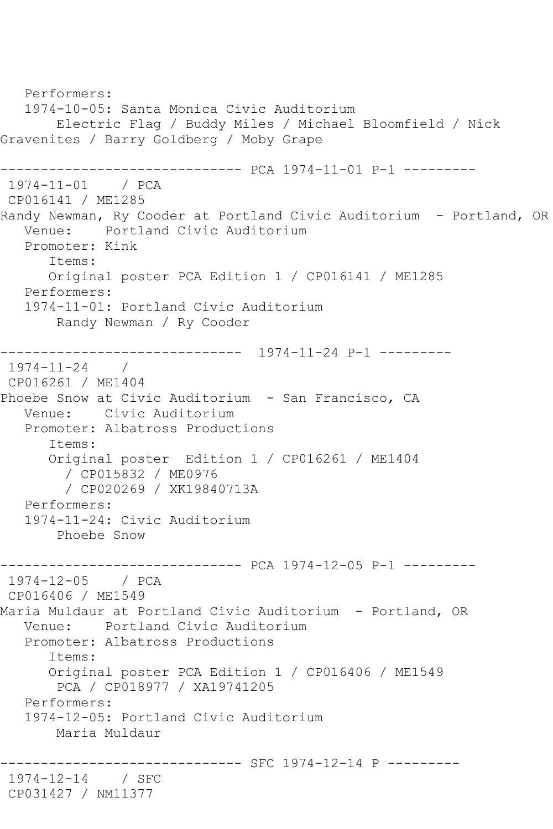```
 Performers:
   1974-10-05: Santa Monica Civic Auditorium
       Electric Flag / Buddy Miles / Michael Bloomfield / Nick 
Gravenites / Barry Goldberg / Moby Grape
        ------------------------------ PCA 1974-11-01 P-1 ---------
1974-11-01 / PCA 
CP016141 / ME1285
Randy Newman, Ry Cooder at Portland Civic Auditorium - Portland, OR
   Venue: Portland Civic Auditorium
   Promoter: Kink
       Items:
      Original poster PCA Edition 1 / CP016141 / ME1285
   Performers:
   1974-11-01: Portland Civic Auditorium
       Randy Newman / Ry Cooder
------------------------------ 1974-11-24 P-1 ---------
1974-11-24 / 
CP016261 / ME1404
Phoebe Snow at Civic Auditorium - San Francisco, CA
   Venue: Civic Auditorium
   Promoter: Albatross Productions
       Items:
      Original poster Edition 1 / CP016261 / ME1404
         / CP015832 / ME0976
         / CP020269 / XK19840713A
   Performers:
   1974-11-24: Civic Auditorium
       Phoebe Snow
------------------------------ PCA 1974-12-05 P-1 ---------
1974-12-05 / PCA 
CP016406 / ME1549
Maria Muldaur at Portland Civic Auditorium - Portland, OR
   Venue: Portland Civic Auditorium
   Promoter: Albatross Productions
       Items:
      Original poster PCA Edition 1 / CP016406 / ME1549
        PCA / CP018977 / XA19741205
   Performers:
   1974-12-05: Portland Civic Auditorium
       Maria Muldaur
 ------------------------------ SFC 1974-12-14 P ---------
1974-12-14 / SFC 
CP031427 / NM11377
```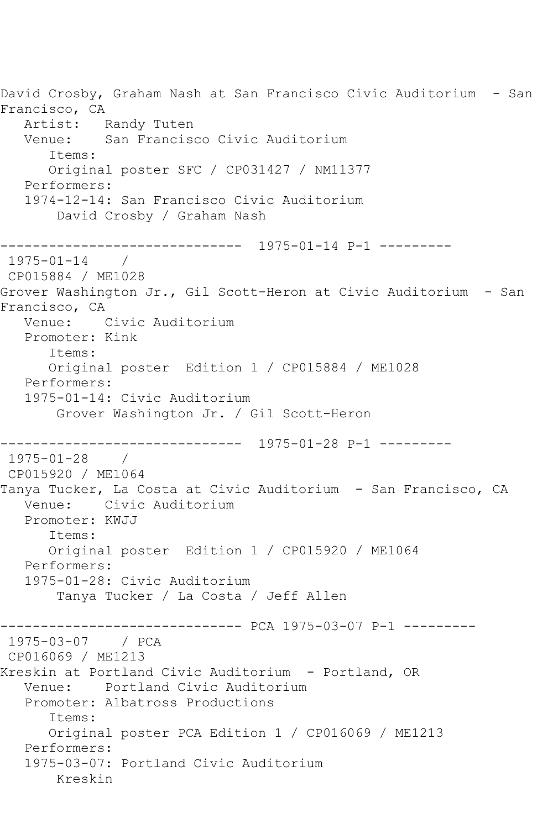David Crosby, Graham Nash at San Francisco Civic Auditorium - San Francisco, CA Artist: Randy Tuten Venue: San Francisco Civic Auditorium Items: Original poster SFC / CP031427 / NM11377 Performers: 1974-12-14: San Francisco Civic Auditorium David Crosby / Graham Nash ------------------------------ 1975-01-14 P-1 --------- 1975-01-14 / CP015884 / ME1028 Grover Washington Jr., Gil Scott-Heron at Civic Auditorium - San Francisco, CA Venue: Civic Auditorium Promoter: Kink Items: Original poster Edition 1 / CP015884 / ME1028 Performers: 1975-01-14: Civic Auditorium Grover Washington Jr. / Gil Scott-Heron ------------------------------ 1975-01-28 P-1 --------- 1975-01-28 / CP015920 / ME1064 Tanya Tucker, La Costa at Civic Auditorium - San Francisco, CA Venue: Civic Auditorium Promoter: KWJJ Items: Original poster Edition 1 / CP015920 / ME1064 Performers: 1975-01-28: Civic Auditorium Tanya Tucker / La Costa / Jeff Allen ------------------------------ PCA 1975-03-07 P-1 --------- 1975-03-07 / PCA CP016069 / ME1213 Kreskin at Portland Civic Auditorium - Portland, OR Venue: Portland Civic Auditorium Promoter: Albatross Productions Items: Original poster PCA Edition 1 / CP016069 / ME1213 Performers: 1975-03-07: Portland Civic Auditorium Kreskin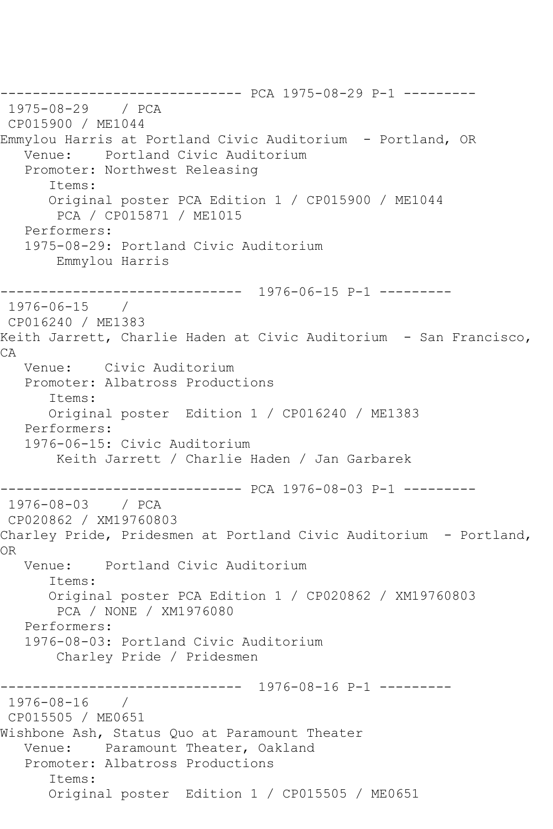------------------------------ PCA 1975-08-29 P-1 --------- 1975-08-29 / PCA CP015900 / ME1044 Emmylou Harris at Portland Civic Auditorium - Portland, OR Venue: Portland Civic Auditorium Promoter: Northwest Releasing Items: Original poster PCA Edition 1 / CP015900 / ME1044 PCA / CP015871 / ME1015 Performers: 1975-08-29: Portland Civic Auditorium Emmylou Harris ------------------------------ 1976-06-15 P-1 --------- 1976-06-15 / CP016240 / ME1383 Keith Jarrett, Charlie Haden at Civic Auditorium - San Francisco, CA Venue: Civic Auditorium Promoter: Albatross Productions Items: Original poster Edition 1 / CP016240 / ME1383 Performers: 1976-06-15: Civic Auditorium Keith Jarrett / Charlie Haden / Jan Garbarek ------------------------------ PCA 1976-08-03 P-1 --------- 1976-08-03 / PCA CP020862 / XM19760803 Charley Pride, Pridesmen at Portland Civic Auditorium - Portland, OR Venue: Portland Civic Auditorium Items: Original poster PCA Edition 1 / CP020862 / XM19760803 PCA / NONE / XM1976080 Performers: 1976-08-03: Portland Civic Auditorium Charley Pride / Pridesmen ------------------------------ 1976-08-16 P-1 --------- 1976-08-16 / CP015505 / ME0651 Wishbone Ash, Status Quo at Paramount Theater Venue: Paramount Theater, Oakland Promoter: Albatross Productions Items: Original poster Edition 1 / CP015505 / ME0651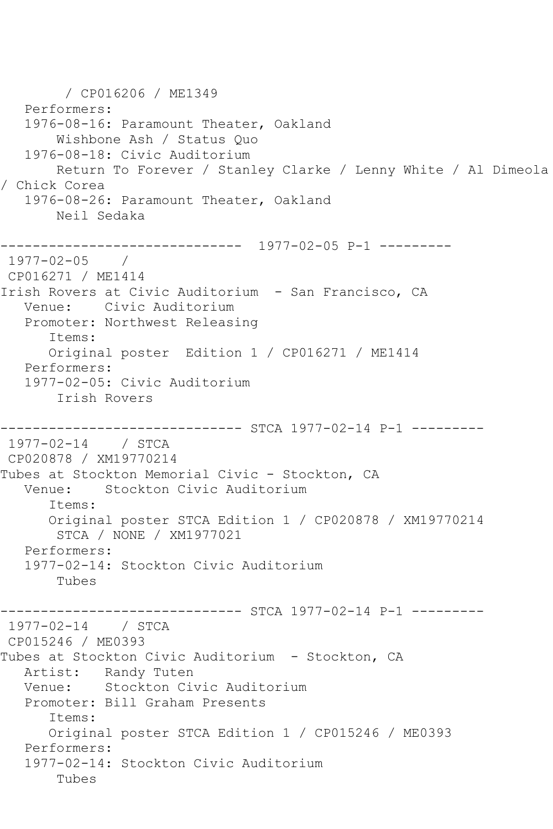/ CP016206 / ME1349 Performers: 1976-08-16: Paramount Theater, Oakland Wishbone Ash / Status Quo 1976-08-18: Civic Auditorium Return To Forever / Stanley Clarke / Lenny White / Al Dimeola / Chick Corea 1976-08-26: Paramount Theater, Oakland Neil Sedaka ------------------------------ 1977-02-05 P-1 --------- 1977-02-05 / CP016271 / ME1414 Irish Rovers at Civic Auditorium - San Francisco, CA Venue: Civic Auditorium Promoter: Northwest Releasing Items: Original poster Edition 1 / CP016271 / ME1414 Performers: 1977-02-05: Civic Auditorium Irish Rovers ------------------------------ STCA 1977-02-14 P-1 --------- 1977-02-14 / STCA CP020878 / XM19770214 Tubes at Stockton Memorial Civic - Stockton, CA<br>Venue: Stockton Civic Auditorium Stockton Civic Auditorium Items: Original poster STCA Edition 1 / CP020878 / XM19770214 STCA / NONE / XM1977021 Performers: 1977-02-14: Stockton Civic Auditorium Tubes --------- STCA 1977-02-14 P-1 ---------1977-02-14 / STCA CP015246 / ME0393 Tubes at Stockton Civic Auditorium - Stockton, CA Artist: Randy Tuten Venue: Stockton Civic Auditorium Promoter: Bill Graham Presents Items: Original poster STCA Edition 1 / CP015246 / ME0393 Performers: 1977-02-14: Stockton Civic Auditorium Tubes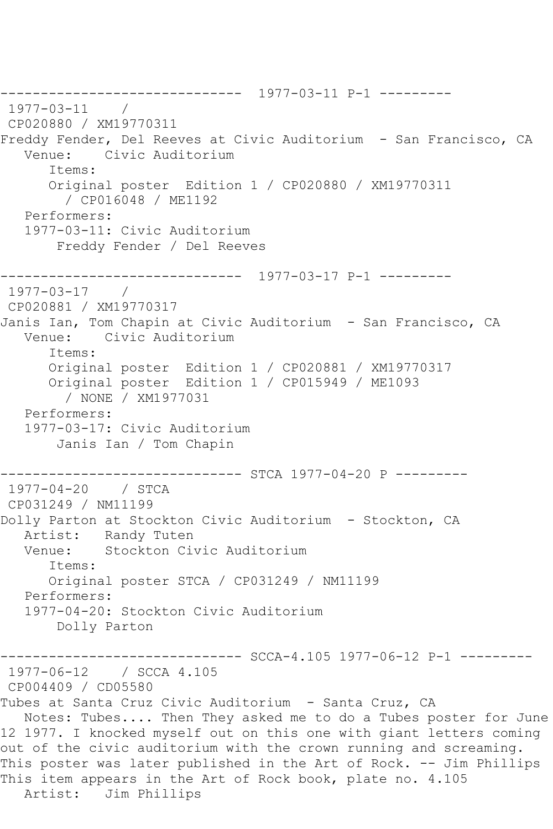------------------------------ 1977-03-11 P-1 --------- 1977-03-11 / CP020880 / XM19770311 Freddy Fender, Del Reeves at Civic Auditorium - San Francisco, CA Venue: Civic Auditorium Items: Original poster Edition 1 / CP020880 / XM19770311 / CP016048 / ME1192 Performers: 1977-03-11: Civic Auditorium Freddy Fender / Del Reeves  $--------------1977-03-17 P-1--------$ 1977-03-17 / CP020881 / XM19770317 Janis Ian, Tom Chapin at Civic Auditorium - San Francisco, CA Venue: Civic Auditorium Items: Original poster Edition 1 / CP020881 / XM19770317 Original poster Edition 1 / CP015949 / ME1093 / NONE / XM1977031 Performers: 1977-03-17: Civic Auditorium Janis Ian / Tom Chapin ------------------------------ STCA 1977-04-20 P --------- 1977-04-20 / STCA CP031249 / NM11199 Dolly Parton at Stockton Civic Auditorium - Stockton, CA Artist: Randy Tuten Venue: Stockton Civic Auditorium Items: Original poster STCA / CP031249 / NM11199 Performers: 1977-04-20: Stockton Civic Auditorium Dolly Parton ----- SCCA-4.105 1977-06-12 P-1 ---------1977-06-12 / SCCA 4.105 CP004409 / CD05580 Tubes at Santa Cruz Civic Auditorium - Santa Cruz, CA Notes: Tubes.... Then They asked me to do a Tubes poster for June 12 1977. I knocked myself out on this one with giant letters coming out of the civic auditorium with the crown running and screaming. This poster was later published in the Art of Rock. -- Jim Phillips This item appears in the Art of Rock book, plate no. 4.105 Artist: Jim Phillips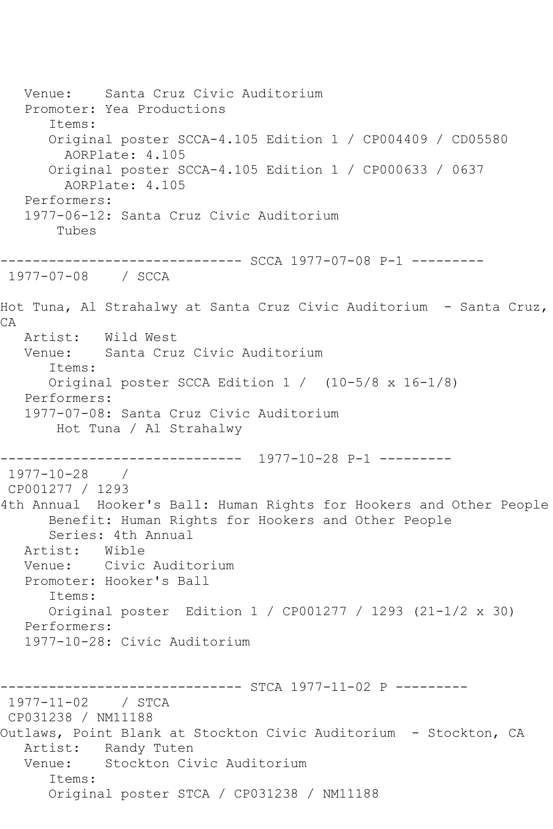Venue: Santa Cruz Civic Auditorium Promoter: Yea Productions Items: Original poster SCCA-4.105 Edition 1 / CP004409 / CD05580 AORPlate: 4.105 Original poster SCCA-4.105 Edition 1 / CP000633 / 0637 AORPlate: 4.105 Performers: 1977-06-12: Santa Cruz Civic Auditorium Tubes ------------------------------ SCCA 1977-07-08 P-1 --------- 1977-07-08 / SCCA Hot Tuna, Al Strahalwy at Santa Cruz Civic Auditorium - Santa Cruz, CA Artist: Wild West Venue: Santa Cruz Civic Auditorium Items: Original poster SCCA Edition 1 / (10-5/8 x 16-1/8) Performers: 1977-07-08: Santa Cruz Civic Auditorium Hot Tuna / Al Strahalwy ------------------------------ 1977-10-28 P-1 --------- 1977-10-28 / CP001277 / 1293 4th Annual Hooker's Ball: Human Rights for Hookers and Other People Benefit: Human Rights for Hookers and Other People Series: 4th Annual Artist: Wible<br>Venue: Civic Civic Auditorium Promoter: Hooker's Ball Items: Original poster Edition 1 / CP001277 / 1293 (21-1/2 x 30) Performers: 1977-10-28: Civic Auditorium ------------------------------ STCA 1977-11-02 P --------- 1977-11-02 / STCA CP031238 / NM11188 Outlaws, Point Blank at Stockton Civic Auditorium - Stockton, CA Artist: Randy Tuten Venue: Stockton Civic Auditorium Items: Original poster STCA / CP031238 / NM11188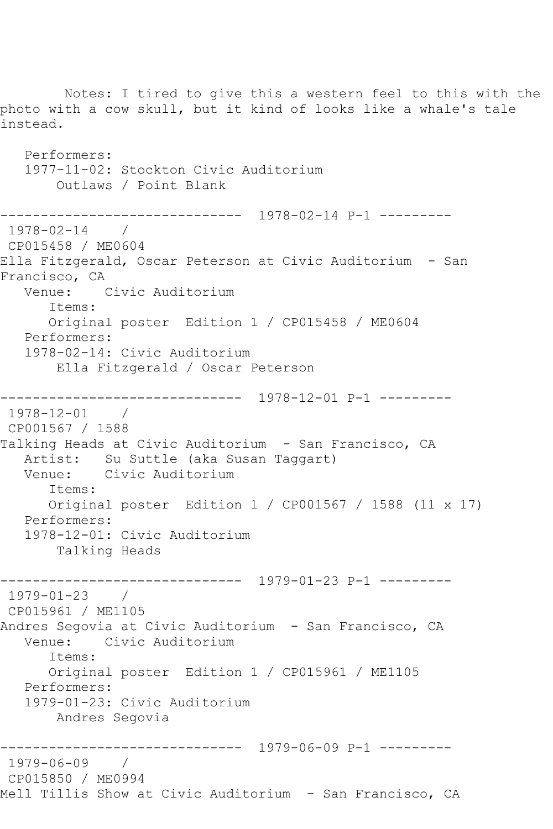Notes: I tired to give this a western feel to this with the photo with a cow skull, but it kind of looks like a whale's tale instead. Performers: 1977-11-02: Stockton Civic Auditorium Outlaws / Point Blank ------------------------------ 1978-02-14 P-1 --------- 1978-02-14 / CP015458 / ME0604 Ella Fitzgerald, Oscar Peterson at Civic Auditorium - San Francisco, CA Venue: Civic Auditorium Items: Original poster Edition 1 / CP015458 / ME0604 Performers: 1978-02-14: Civic Auditorium Ella Fitzgerald / Oscar Peterson ------------------------------ 1978-12-01 P-1 --------- 1978-12-01 / CP001567 / 1588 Talking Heads at Civic Auditorium - San Francisco, CA Artist: Su Suttle (aka Susan Taggart)<br>Venue: Civic Auditorium Civic Auditorium Items: Original poster Edition 1 / CP001567 / 1588 (11 x 17) Performers: 1978-12-01: Civic Auditorium Talking Heads ------------------------------ 1979-01-23 P-1 --------- 1979-01-23 / CP015961 / ME1105 Andres Segovia at Civic Auditorium - San Francisco, CA<br>Venue: Civic Auditorium Civic Auditorium Items: Original poster Edition 1 / CP015961 / ME1105 Performers: 1979-01-23: Civic Auditorium Andres Segovia ------------------------------ 1979-06-09 P-1 --------- 1979-06-09 / CP015850 / ME0994 Mell Tillis Show at Civic Auditorium - San Francisco, CA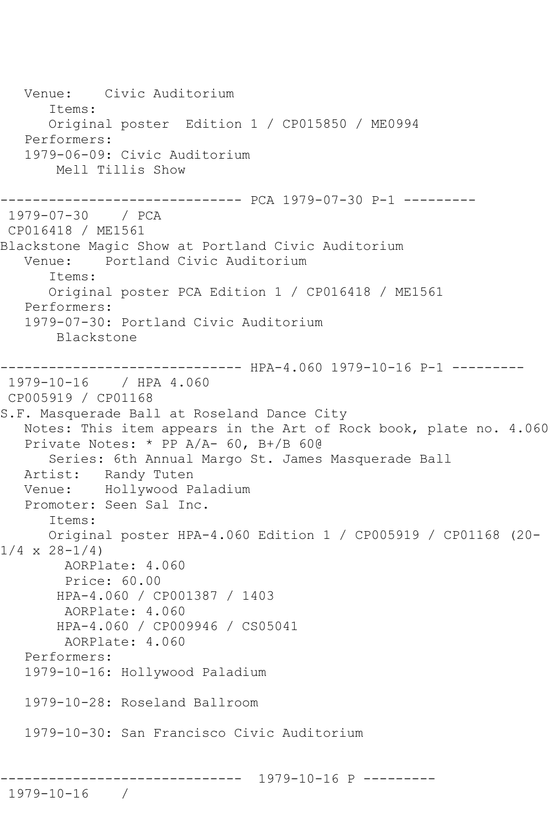Venue: Civic Auditorium Items: Original poster Edition 1 / CP015850 / ME0994 Performers: 1979-06-09: Civic Auditorium Mell Tillis Show ------------------------------ PCA 1979-07-30 P-1 --------- 1979-07-30 / PCA CP016418 / ME1561 Blackstone Magic Show at Portland Civic Auditorium Venue: Portland Civic Auditorium Items: Original poster PCA Edition 1 / CP016418 / ME1561 Performers: 1979-07-30: Portland Civic Auditorium Blackstone --------- HPA-4.060 1979-10-16 P-1 ---------1979-10-16 / HPA 4.060 CP005919 / CP01168 S.F. Masquerade Ball at Roseland Dance City Notes: This item appears in the Art of Rock book, plate no. 4.060 Private Notes: \* PP A/A- 60, B+/B 60@ Series: 6th Annual Margo St. James Masquerade Ball Artist: Randy Tuten Venue: Hollywood Paladium Promoter: Seen Sal Inc. Items: Original poster HPA-4.060 Edition 1 / CP005919 / CP01168 (20-  $1/4 \times 28 - 1/4$  AORPlate: 4.060 Price: 60.00 HPA-4.060 / CP001387 / 1403 AORPlate: 4.060 HPA-4.060 / CP009946 / CS05041 AORPlate: 4.060 Performers: 1979-10-16: Hollywood Paladium 1979-10-28: Roseland Ballroom 1979-10-30: San Francisco Civic Auditorium ------------------------------ 1979-10-16 P ---------

1979-10-16 /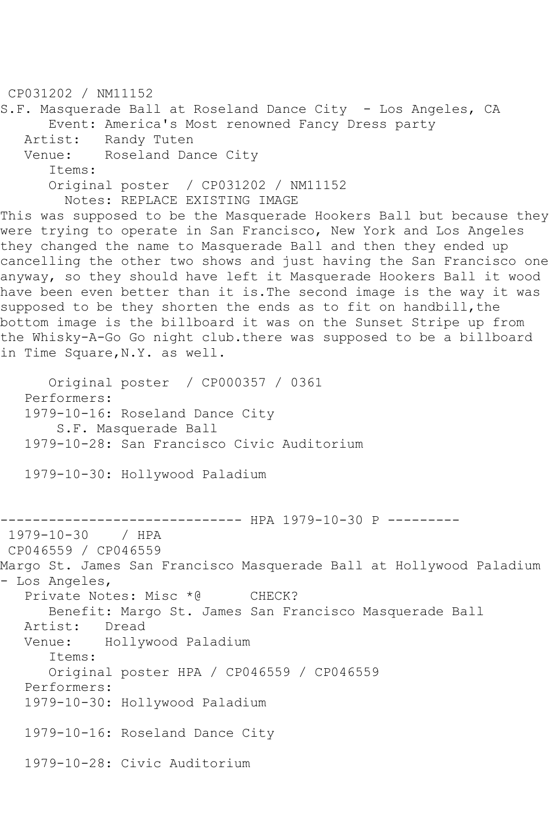CP031202 / NM11152 S.F. Masquerade Ball at Roseland Dance City - Los Angeles, CA Event: America's Most renowned Fancy Dress party Artist: Randy Tuten<br>Venue: Roseland Day Roseland Dance City Items: Original poster / CP031202 / NM11152 Notes: REPLACE EXISTING IMAGE This was supposed to be the Masquerade Hookers Ball but because they were trying to operate in San Francisco, New York and Los Angeles they changed the name to Masquerade Ball and then they ended up cancelling the other two shows and just having the San Francisco one anyway, so they should have left it Masquerade Hookers Ball it wood have been even better than it is.The second image is the way it was supposed to be they shorten the ends as to fit on handbill, the bottom image is the billboard it was on the Sunset Stripe up from the Whisky-A-Go Go night club.there was supposed to be a billboard in Time Square,N.Y. as well. Original poster / CP000357 / 0361 Performers: 1979-10-16: Roseland Dance City S.F. Masquerade Ball 1979-10-28: San Francisco Civic Auditorium 1979-10-30: Hollywood Paladium ------------------------------ HPA 1979-10-30 P --------- 1979-10-30 / HPA CP046559 / CP046559 Margo St. James San Francisco Masquerade Ball at Hollywood Paladium - Los Angeles, Private Notes: Misc \*@ CHECK?

Benefit: Margo St. James San Francisco Masquerade Ball

Artist: Dread<br>Venue: Hollv

Hollywood Paladium

Items:

 Original poster HPA / CP046559 / CP046559 Performers:

1979-10-30: Hollywood Paladium

1979-10-16: Roseland Dance City

1979-10-28: Civic Auditorium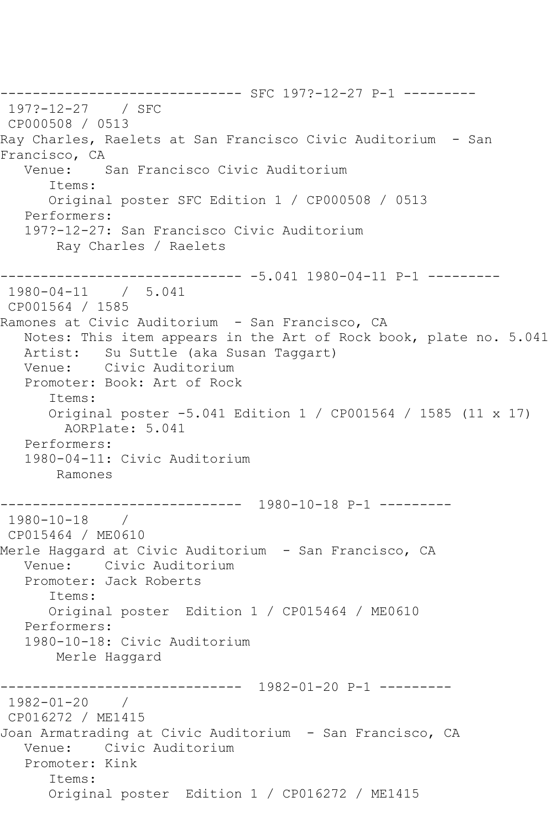------------------------------ SFC 197?-12-27 P-1 --------- 197?-12-27 / SFC CP000508 / 0513 Ray Charles, Raelets at San Francisco Civic Auditorium - San Francisco, CA<br>Venue: San Francisco Civic Auditorium Items: Original poster SFC Edition 1 / CP000508 / 0513 Performers: 197?-12-27: San Francisco Civic Auditorium Ray Charles / Raelets ------------------------------ -5.041 1980-04-11 P-1 --------- 1980-04-11 / 5.041 CP001564 / 1585 Ramones at Civic Auditorium - San Francisco, CA Notes: This item appears in the Art of Rock book, plate no. 5.041 Artist: Su Suttle (aka Susan Taggart) Venue: Civic Auditorium Promoter: Book: Art of Rock Items: Original poster -5.041 Edition 1 / CP001564 / 1585 (11 x 17) AORPlate: 5.041 Performers: 1980-04-11: Civic Auditorium Ramones ------------------------------ 1980-10-18 P-1 --------- 1980-10-18 / CP015464 / ME0610 Merle Haggard at Civic Auditorium - San Francisco, CA Venue: Civic Auditorium Promoter: Jack Roberts Items: Original poster Edition 1 / CP015464 / ME0610 Performers: 1980-10-18: Civic Auditorium Merle Haggard ------------------------------ 1982-01-20 P-1 --------- 1982-01-20 / CP016272 / ME1415 Joan Armatrading at Civic Auditorium - San Francisco, CA Venue: Civic Auditorium Promoter: Kink Items: Original poster Edition 1 / CP016272 / ME1415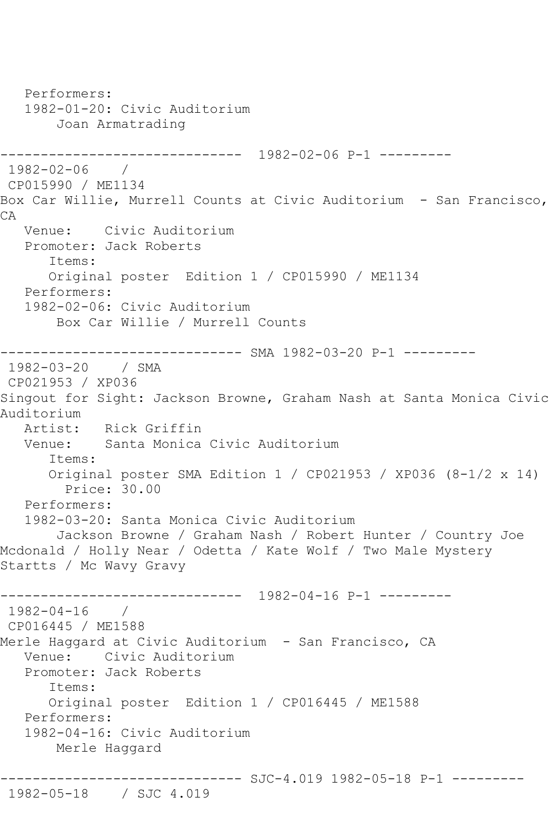Performers: 1982-01-20: Civic Auditorium Joan Armatrading ------------------------------ 1982-02-06 P-1 --------- 1982-02-06 / CP015990 / ME1134 Box Car Willie, Murrell Counts at Civic Auditorium - San Francisco, CA Venue: Civic Auditorium Promoter: Jack Roberts Items: Original poster Edition 1 / CP015990 / ME1134 Performers: 1982-02-06: Civic Auditorium Box Car Willie / Murrell Counts ------------------------------ SMA 1982-03-20 P-1 --------- 1982-03-20 / SMA CP021953 / XP036 Singout for Sight: Jackson Browne, Graham Nash at Santa Monica Civic Auditorium Artist: Rick Griffin Venue: Santa Monica Civic Auditorium Items: Original poster SMA Edition 1 / CP021953 / XP036 (8-1/2 x 14) Price: 30.00 Performers: 1982-03-20: Santa Monica Civic Auditorium Jackson Browne / Graham Nash / Robert Hunter / Country Joe Mcdonald / Holly Near / Odetta / Kate Wolf / Two Male Mystery Startts / Mc Wavy Gravy ------------------------------ 1982-04-16 P-1 --------- 1982-04-16 / CP016445 / ME1588 Merle Haggard at Civic Auditorium - San Francisco, CA Venue: Civic Auditorium Promoter: Jack Roberts Items: Original poster Edition 1 / CP016445 / ME1588 Performers: 1982-04-16: Civic Auditorium Merle Haggard ------------------------------ SJC-4.019 1982-05-18 P-1 ---------

1982-05-18 / SJC 4.019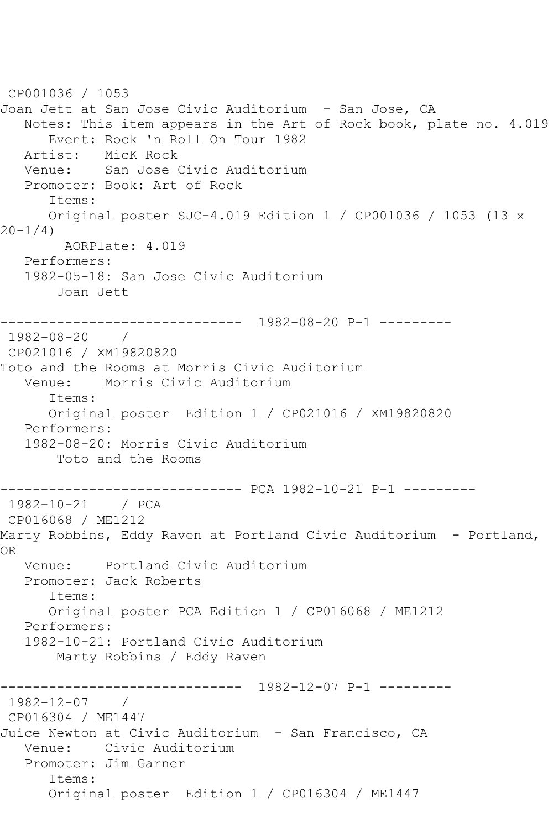```
CP001036 / 1053
Joan Jett at San Jose Civic Auditorium - San Jose, CA
   Notes: This item appears in the Art of Rock book, plate no. 4.019
      Event: Rock 'n Roll On Tour 1982
   Artist: MicK Rock
   Venue: San Jose Civic Auditorium
   Promoter: Book: Art of Rock
      Items:
      Original poster SJC-4.019 Edition 1 / CP001036 / 1053 (13 x 
20-1/4)
        AORPlate: 4.019 
   Performers:
   1982-05-18: San Jose Civic Auditorium
       Joan Jett
------------------------------ 1982-08-20 P-1 ---------
1982-08-20 / 
CP021016 / XM19820820
Toto and the Rooms at Morris Civic Auditorium
   Venue: Morris Civic Auditorium
      Items:
      Original poster Edition 1 / CP021016 / XM19820820
   Performers:
   1982-08-20: Morris Civic Auditorium
       Toto and the Rooms
------------------------------ PCA 1982-10-21 P-1 ---------
1982-10-21 / PCA 
CP016068 / ME1212
Marty Robbins, Eddy Raven at Portland Civic Auditorium - Portland, 
OR
   Venue: Portland Civic Auditorium
   Promoter: Jack Roberts
      Items:
      Original poster PCA Edition 1 / CP016068 / ME1212
   Performers:
   1982-10-21: Portland Civic Auditorium
       Marty Robbins / Eddy Raven
------------------------------ 1982-12-07 P-1 ---------
1982-12-07 / 
CP016304 / ME1447
Juice Newton at Civic Auditorium - San Francisco, CA
   Venue: Civic Auditorium
   Promoter: Jim Garner
      Items:
      Original poster Edition 1 / CP016304 / ME1447
```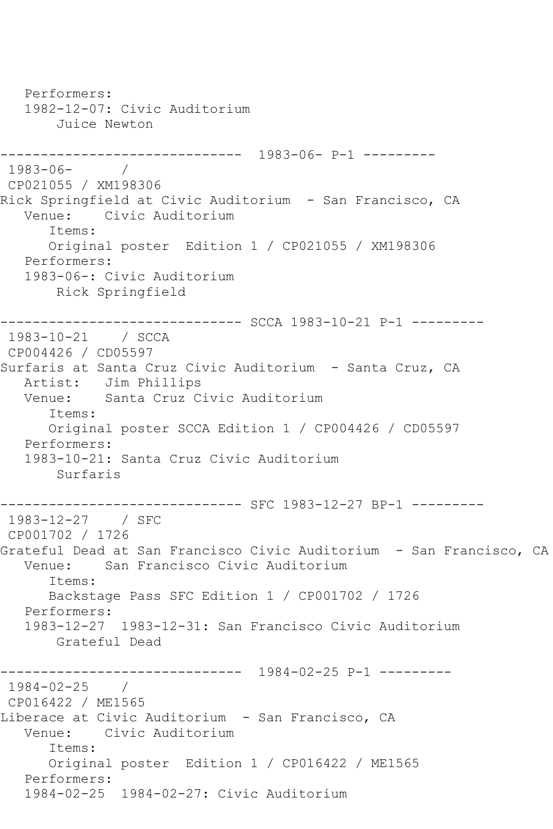```
 Performers:
   1982-12-07: Civic Auditorium
       Juice Newton
------------------------------ 1983-06- P-1 ---------
1983-06- / 
CP021055 / XM198306
Rick Springfield at Civic Auditorium - San Francisco, CA
   Venue: Civic Auditorium
       Items:
       Original poster Edition 1 / CP021055 / XM198306
   Performers:
   1983-06-: Civic Auditorium
       Rick Springfield
------------------------------ SCCA 1983-10-21 P-1 ---------
1983-10-21 / SCCA 
CP004426 / CD05597
Surfaris at Santa Cruz Civic Auditorium - Santa Cruz, CA
  Artist: Jim Phillips<br>Venue: Santa Cruz C
           Santa Cruz Civic Auditorium
       Items:
      Original poster SCCA Edition 1 / CP004426 / CD05597
   Performers:
   1983-10-21: Santa Cruz Civic Auditorium
       Surfaris
                    ----------- SFC 1983-12-27 BP-1 ---------
1983-12-27 / SFC 
CP001702 / 1726
Grateful Dead at San Francisco Civic Auditorium - San Francisco, CA
   Venue: San Francisco Civic Auditorium
       Items:
      Backstage Pass SFC Edition 1 / CP001702 / 1726
   Performers:
   1983-12-27 1983-12-31: San Francisco Civic Auditorium
       Grateful Dead
------------------------------ 1984-02-25 P-1 ---------
1984-02-25 / 
CP016422 / ME1565
Liberace at Civic Auditorium - San Francisco, CA
   Venue: Civic Auditorium
       Items:
      Original poster Edition 1 / CP016422 / ME1565
   Performers:
   1984-02-25 1984-02-27: Civic Auditorium
```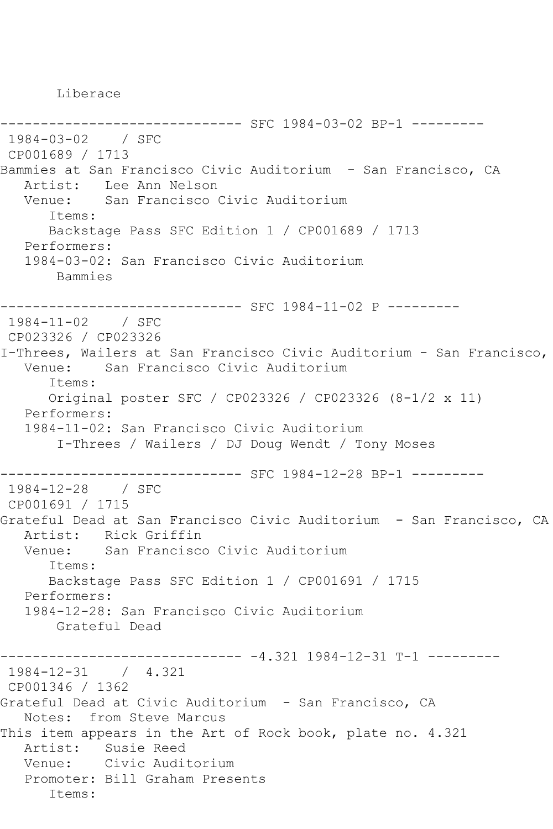Liberace

```
------------------------------ SFC 1984-03-02 BP-1 ---------
1984-03-02 / SFC 
CP001689 / 1713
Bammies at San Francisco Civic Auditorium - San Francisco, CA
   Artist: Lee Ann Nelson
   Venue: San Francisco Civic Auditorium
      Items:
      Backstage Pass SFC Edition 1 / CP001689 / 1713
   Performers:
   1984-03-02: San Francisco Civic Auditorium
       Bammies
      ------------------------------ SFC 1984-11-02 P ---------
1984-11-02 / SFC 
CP023326 / CP023326
I-Threes, Wailers at San Francisco Civic Auditorium - San Francisco,
   Venue: San Francisco Civic Auditorium
      Items:
      Original poster SFC / CP023326 / CP023326 (8-1/2 x 11)
   Performers:
   1984-11-02: San Francisco Civic Auditorium
        I-Threes / Wailers / DJ Doug Wendt / Tony Moses
------------------------------ SFC 1984-12-28 BP-1 ---------
1984-12-28 / SFC 
CP001691 / 1715
Grateful Dead at San Francisco Civic Auditorium - San Francisco, CA
   Artist: Rick Griffin
   Venue: San Francisco Civic Auditorium
      Items:
      Backstage Pass SFC Edition 1 / CP001691 / 1715
   Performers:
   1984-12-28: San Francisco Civic Auditorium
       Grateful Dead
                     --------------1.321 1984-12-31 T-1 --------1984-12-31 / 4.321
CP001346 / 1362
Grateful Dead at Civic Auditorium - San Francisco, CA
   Notes: from Steve Marcus
This item appears in the Art of Rock book, plate no. 4.321
   Artist: Susie Reed
   Venue: Civic Auditorium
   Promoter: Bill Graham Presents
      Items:
```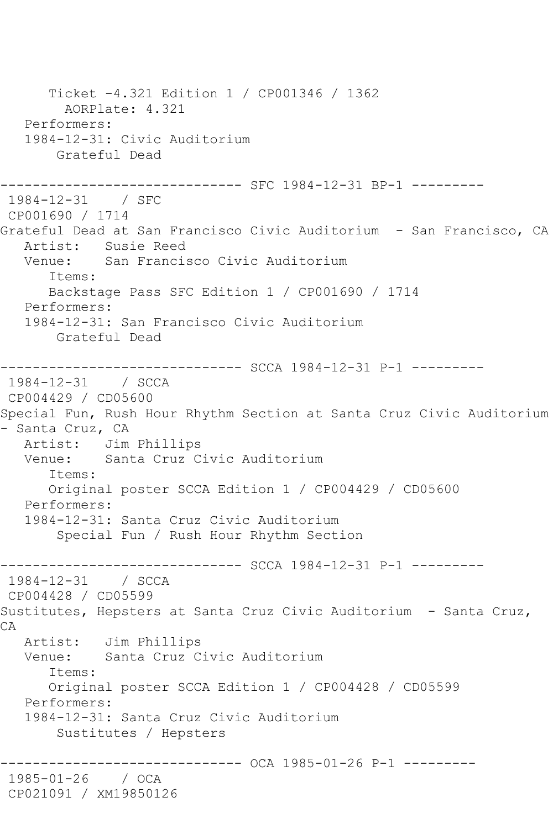Ticket -4.321 Edition 1 / CP001346 / 1362 AORPlate: 4.321 Performers: 1984-12-31: Civic Auditorium Grateful Dead ------------------------------ SFC 1984-12-31 BP-1 --------- 1984-12-31 / SFC CP001690 / 1714 Grateful Dead at San Francisco Civic Auditorium - San Francisco, CA Artist: Susie Reed<br>Venue: San Francis San Francisco Civic Auditorium Items: Backstage Pass SFC Edition 1 / CP001690 / 1714 Performers: 1984-12-31: San Francisco Civic Auditorium Grateful Dead ------------------------------ SCCA 1984-12-31 P-1 --------- 1984-12-31 / SCCA CP004429 / CD05600 Special Fun, Rush Hour Rhythm Section at Santa Cruz Civic Auditorium - Santa Cruz, CA Artist: Jim Phillips Venue: Santa Cruz Civic Auditorium Items: Original poster SCCA Edition 1 / CP004429 / CD05600 Performers: 1984-12-31: Santa Cruz Civic Auditorium Special Fun / Rush Hour Rhythm Section ------------------------------ SCCA 1984-12-31 P-1 --------- 1984-12-31 / SCCA CP004428 / CD05599 Sustitutes, Hepsters at Santa Cruz Civic Auditorium - Santa Cruz, CA Artist: Jim Phillips Venue: Santa Cruz Civic Auditorium Items: Original poster SCCA Edition 1 / CP004428 / CD05599 Performers: 1984-12-31: Santa Cruz Civic Auditorium Sustitutes / Hepsters ------------------------------ OCA 1985-01-26 P-1 --------- 1985-01-26 / OCA CP021091 / XM19850126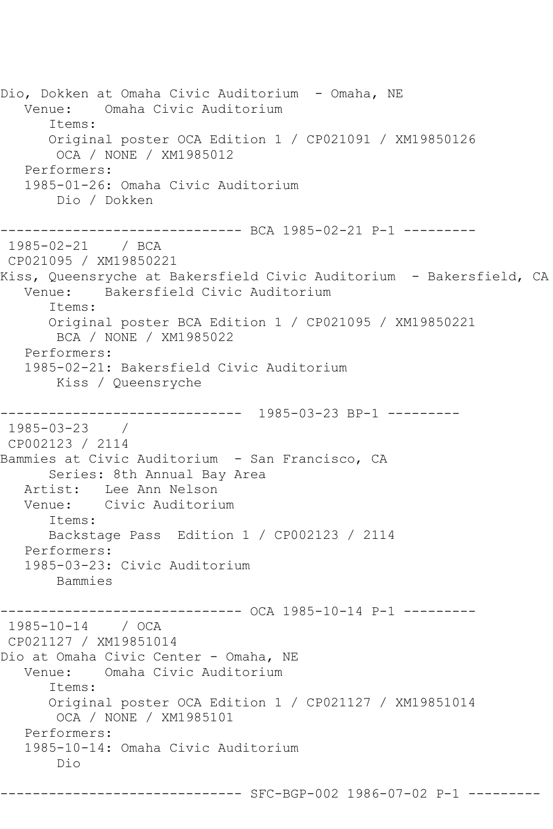Dio, Dokken at Omaha Civic Auditorium - Omaha, NE Venue: Omaha Civic Auditorium Items: Original poster OCA Edition 1 / CP021091 / XM19850126 OCA / NONE / XM1985012 Performers: 1985-01-26: Omaha Civic Auditorium Dio / Dokken ------------------------------ BCA 1985-02-21 P-1 --------- 1985-02-21 / BCA CP021095 / XM19850221 Kiss, Queensryche at Bakersfield Civic Auditorium - Bakersfield, CA Venue: Bakersfield Civic Auditorium Items: Original poster BCA Edition 1 / CP021095 / XM19850221 BCA / NONE / XM1985022 Performers: 1985-02-21: Bakersfield Civic Auditorium Kiss / Queensryche ------------------------------ 1985-03-23 BP-1 --------- 1985-03-23 / CP002123 / 2114 Bammies at Civic Auditorium - San Francisco, CA Series: 8th Annual Bay Area Artist: Lee Ann Nelson Venue: Civic Auditorium Items: Backstage Pass Edition 1 / CP002123 / 2114 Performers: 1985-03-23: Civic Auditorium Bammies --------- OCA 1985-10-14 P-1 ---------1985-10-14 / OCA CP021127 / XM19851014 Dio at Omaha Civic Center - Omaha, NE Venue: Omaha Civic Auditorium Items: Original poster OCA Edition 1 / CP021127 / XM19851014 OCA / NONE / XM1985101 Performers: 1985-10-14: Omaha Civic Auditorium Dio

------------------------------ SFC-BGP-002 1986-07-02 P-1 ---------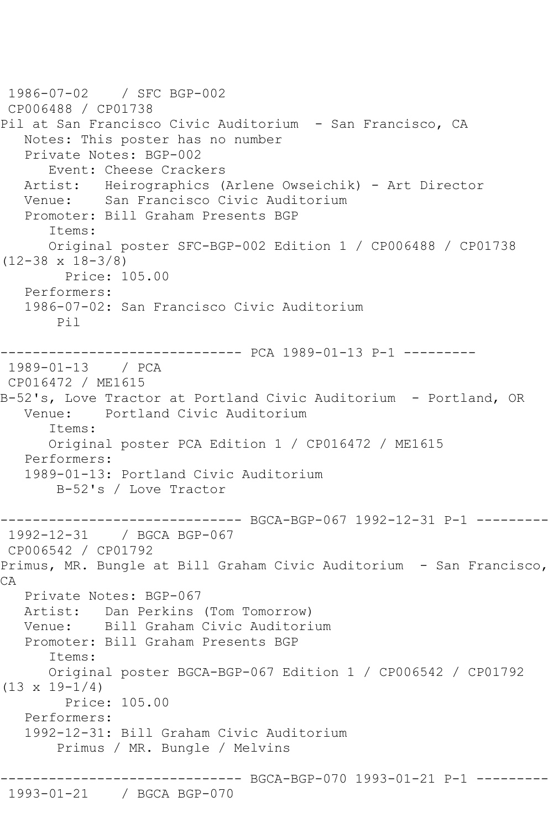```
1986-07-02 / SFC BGP-002
CP006488 / CP01738
Pil at San Francisco Civic Auditorium - San Francisco, CA
   Notes: This poster has no number
   Private Notes: BGP-002
      Event: Cheese Crackers
   Artist: Heirographics (Arlene Owseichik) - Art Director
   Venue: San Francisco Civic Auditorium
   Promoter: Bill Graham Presents BGP
      Items:
      Original poster SFC-BGP-002 Edition 1 / CP006488 / CP01738 
(12-38 x 18-3/8)
        Price: 105.00
   Performers:
   1986-07-02: San Francisco Civic Auditorium
       Pil
------------------------------ PCA 1989-01-13 P-1 ---------
1989-01-13 / PCA 
CP016472 / ME1615
B-52's, Love Tractor at Portland Civic Auditorium - Portland, OR
   Venue: Portland Civic Auditorium
      Items:
      Original poster PCA Edition 1 / CP016472 / ME1615
   Performers:
   1989-01-13: Portland Civic Auditorium
       B-52's / Love Tractor
------------------------------ BGCA-BGP-067 1992-12-31 P-1 ---------
1992-12-31 / BGCA BGP-067
CP006542 / CP01792
Primus, MR. Bungle at Bill Graham Civic Auditorium - San Francisco, 
CA
   Private Notes: BGP-067
   Artist: Dan Perkins (Tom Tomorrow)
   Venue: Bill Graham Civic Auditorium
   Promoter: Bill Graham Presents BGP
      Items:
      Original poster BGCA-BGP-067 Edition 1 / CP006542 / CP01792 
(13 \times 19 - 1/4) Price: 105.00
   Performers:
   1992-12-31: Bill Graham Civic Auditorium
        Primus / MR. Bungle / Melvins
  ------------------------------ BGCA-BGP-070 1993-01-21 P-1 ---------
1993-01-21 / BGCA BGP-070
```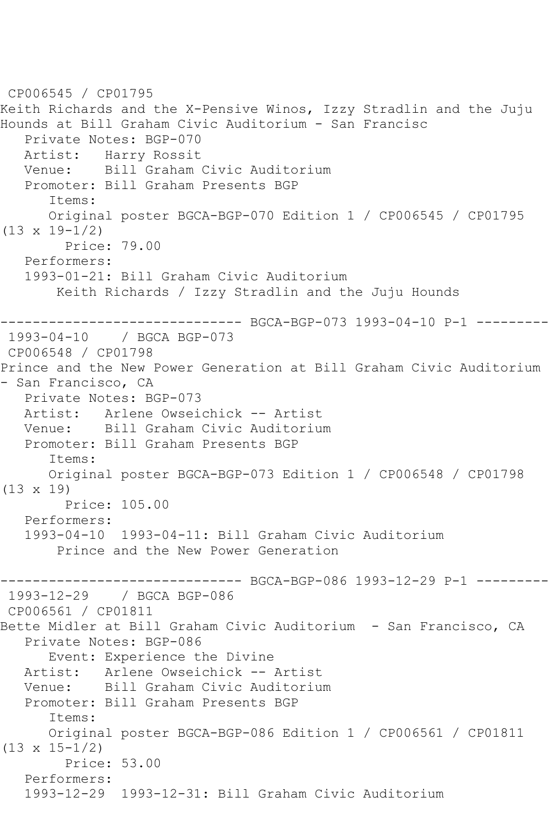```
CP006545 / CP01795
Keith Richards and the X-Pensive Winos, Izzy Stradlin and the Juju 
Hounds at Bill Graham Civic Auditorium - San Francisc
    Private Notes: BGP-070
   Artist: Harry Rossit
   Venue: Bill Graham Civic Auditorium
   Promoter: Bill Graham Presents BGP
       Items:
       Original poster BGCA-BGP-070 Edition 1 / CP006545 / CP01795 
(13 x 19-1/2)
         Price: 79.00
   Performers:
    1993-01-21: Bill Graham Civic Auditorium
        Keith Richards / Izzy Stradlin and the Juju Hounds
------------------------------ BGCA-BGP-073 1993-04-10 P-1 ---------
1993-04-10 / BGCA BGP-073
CP006548 / CP01798
Prince and the New Power Generation at Bill Graham Civic Auditorium 
- San Francisco, CA
   Private Notes: BGP-073
   Artist: Arlene Owseichick -- Artist
   Venue: Bill Graham Civic Auditorium
   Promoter: Bill Graham Presents BGP
       Items:
       Original poster BGCA-BGP-073 Edition 1 / CP006548 / CP01798 
(13 x 19)
         Price: 105.00
   Performers:
   1993-04-10 1993-04-11: Bill Graham Civic Auditorium
        Prince and the New Power Generation
------------------------------ BGCA-BGP-086 1993-12-29 P-1 ---------
1993-12-29 / BGCA BGP-086
CP006561 / CP01811
Bette Midler at Bill Graham Civic Auditorium - San Francisco, CA
    Private Notes: BGP-086
       Event: Experience the Divine
  Artist: Arlene Owseichick -- Artist<br>Venue: Bill Graham Civic Auditoriu
            Bill Graham Civic Auditorium
   Promoter: Bill Graham Presents BGP
       Items:
       Original poster BGCA-BGP-086 Edition 1 / CP006561 / CP01811 
(13 x 15-1/2)
        Price: 53.00
    Performers:
   1993-12-29 1993-12-31: Bill Graham Civic Auditorium
```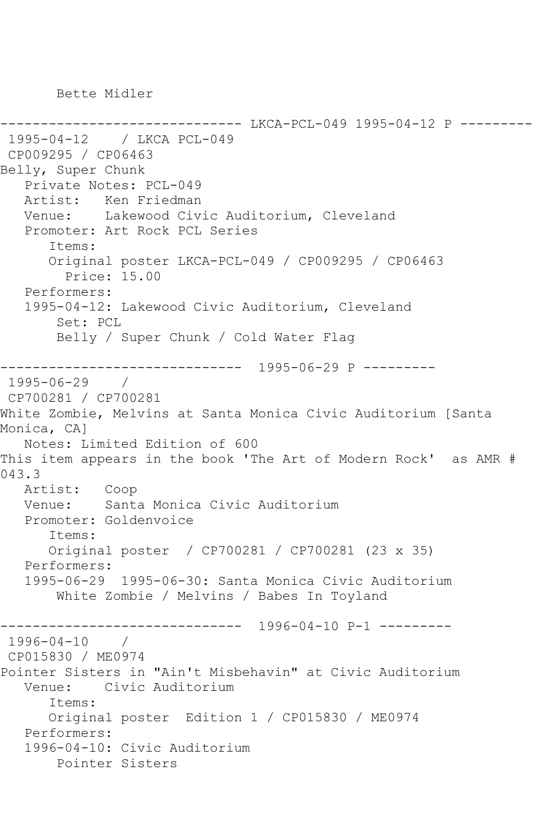Bette Midler

------------------------------ LKCA-PCL-049 1995-04-12 P --------- 1995-04-12 / LKCA PCL-049 CP009295 / CP06463 Belly, Super Chunk Private Notes: PCL-049 Artist: Ken Friedman Venue: Lakewood Civic Auditorium, Cleveland Promoter: Art Rock PCL Series Items: Original poster LKCA-PCL-049 / CP009295 / CP06463 Price: 15.00 Performers: 1995-04-12: Lakewood Civic Auditorium, Cleveland Set: PCL Belly / Super Chunk / Cold Water Flag ------------------------------ 1995-06-29 P --------- 1995-06-29 / CP700281 / CP700281 White Zombie, Melvins at Santa Monica Civic Auditorium [Santa Monica, CA] Notes: Limited Edition of 600 This item appears in the book 'The Art of Modern Rock' as AMR # 043.3 Artist: Coop Venue: Santa Monica Civic Auditorium Promoter: Goldenvoice Items: Original poster / CP700281 / CP700281 (23 x 35) Performers: 1995-06-29 1995-06-30: Santa Monica Civic Auditorium White Zombie / Melvins / Babes In Toyland ------------------------------ 1996-04-10 P-1 --------- 1996-04-10 / CP015830 / ME0974 Pointer Sisters in "Ain't Misbehavin" at Civic Auditorium Venue: Civic Auditorium Items: Original poster Edition 1 / CP015830 / ME0974 Performers: 1996-04-10: Civic Auditorium Pointer Sisters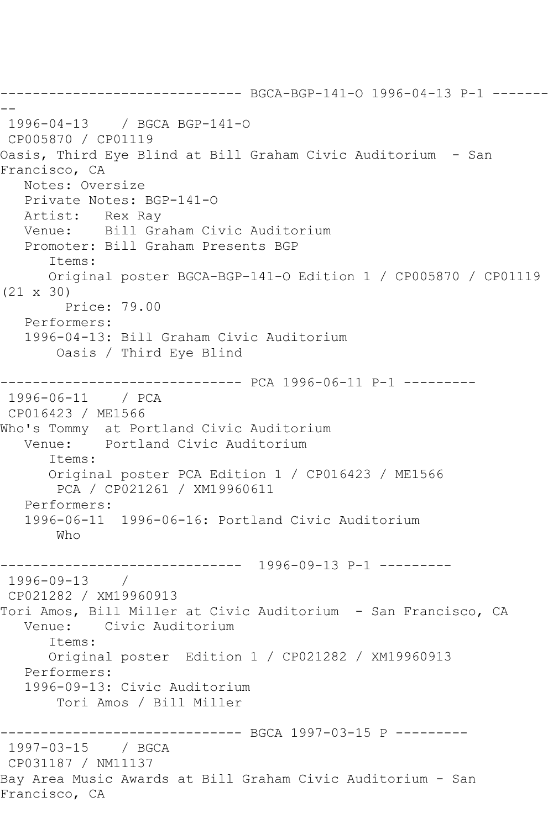------------------------------ BGCA-BGP-141-O 1996-04-13 P-1 ------- -- 1996-04-13 / BGCA BGP-141-O CP005870 / CP01119 Oasis, Third Eye Blind at Bill Graham Civic Auditorium - San Francisco, CA Notes: Oversize Private Notes: BGP-141-O Artist: Rex Ray Venue: Bill Graham Civic Auditorium Promoter: Bill Graham Presents BGP Items: Original poster BGCA-BGP-141-O Edition 1 / CP005870 / CP01119 (21 x 30) Price: 79.00 Performers: 1996-04-13: Bill Graham Civic Auditorium Oasis / Third Eye Blind ------------------------------ PCA 1996-06-11 P-1 --------- 1996-06-11 / PCA CP016423 / ME1566 Who's Tommy at Portland Civic Auditorium Venue: Portland Civic Auditorium Items: Original poster PCA Edition 1 / CP016423 / ME1566 PCA / CP021261 / XM19960611 Performers: 1996-06-11 1996-06-16: Portland Civic Auditorium Who ------------------------------ 1996-09-13 P-1 --------- 1996-09-13 / CP021282 / XM19960913 Tori Amos, Bill Miller at Civic Auditorium - San Francisco, CA Venue: Civic Auditorium Items: Original poster Edition 1 / CP021282 / XM19960913 Performers: 1996-09-13: Civic Auditorium Tori Amos / Bill Miller ---------------- BGCA 1997-03-15 P ---------1997-03-15 / BGCA CP031187 / NM11137 Bay Area Music Awards at Bill Graham Civic Auditorium - San Francisco, CA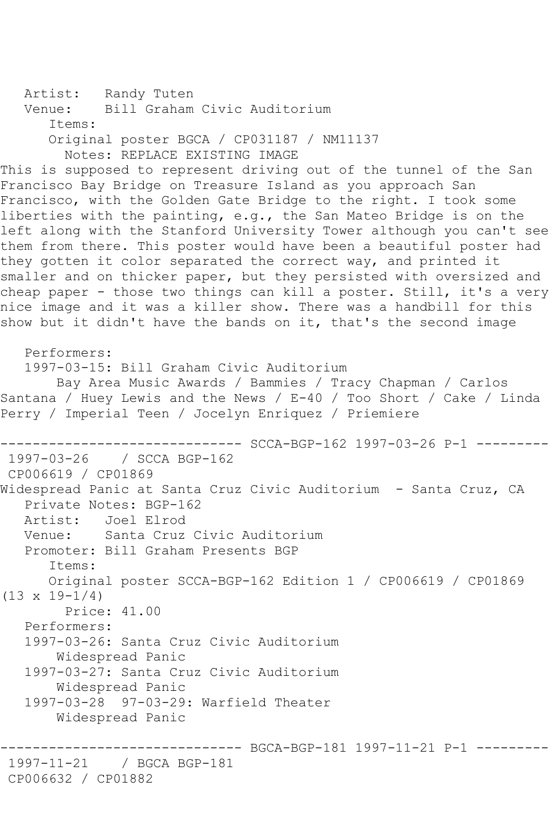```
Artist: Randy Tuten<br>Venue: Bill Graham
            Bill Graham Civic Auditorium
       Items:
      Original poster BGCA / CP031187 / NM11137
         Notes: REPLACE EXISTING IMAGE
This is supposed to represent driving out of the tunnel of the San 
Francisco Bay Bridge on Treasure Island as you approach San 
Francisco, with the Golden Gate Bridge to the right. I took some 
liberties with the painting, e.g., the San Mateo Bridge is on the 
left along with the Stanford University Tower although you can't see 
them from there. This poster would have been a beautiful poster had 
they gotten it color separated the correct way, and printed it 
smaller and on thicker paper, but they persisted with oversized and 
cheap paper - those two things can kill a poster. Still, it's a very 
nice image and it was a killer show. There was a handbill for this 
show but it didn't have the bands on it, that's the second image
   Performers:
   1997-03-15: Bill Graham Civic Auditorium
```
 Bay Area Music Awards / Bammies / Tracy Chapman / Carlos Santana / Huey Lewis and the News / E-40 / Too Short / Cake / Linda Perry / Imperial Teen / Jocelyn Enriquez / Priemiere

------------------------------ SCCA-BGP-162 1997-03-26 P-1 --------- 1997-03-26 / SCCA BGP-162 CP006619 / CP01869 Widespread Panic at Santa Cruz Civic Auditorium - Santa Cruz, CA Private Notes: BGP-162 Artist: Joel Elrod Venue: Santa Cruz Civic Auditorium Promoter: Bill Graham Presents BGP Items: Original poster SCCA-BGP-162 Edition 1 / CP006619 / CP01869  $(13 \times 19 - 1/4)$  Price: 41.00 Performers: 1997-03-26: Santa Cruz Civic Auditorium Widespread Panic 1997-03-27: Santa Cruz Civic Auditorium Widespread Panic 1997-03-28 97-03-29: Warfield Theater Widespread Panic ------- BGCA-BGP-181 1997-11-21 P-1 -------1997-11-21 / BGCA BGP-181

CP006632 / CP01882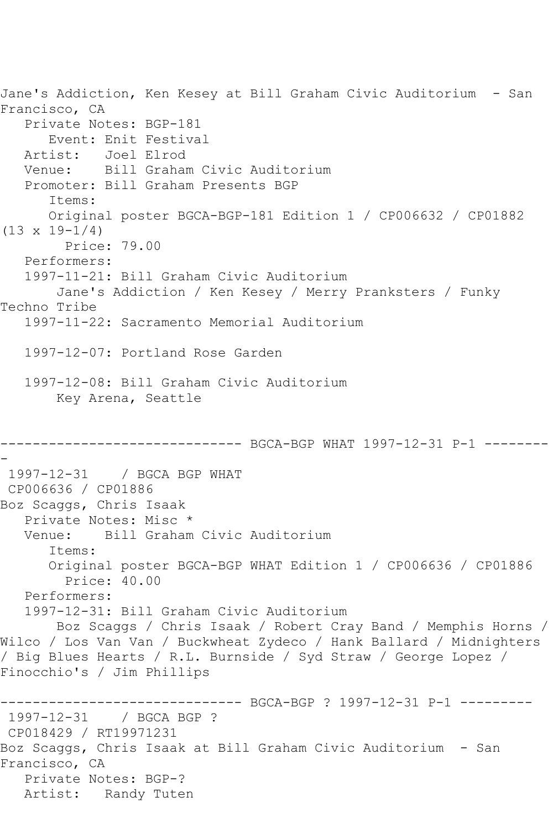Jane's Addiction, Ken Kesey at Bill Graham Civic Auditorium - San Francisco, CA Private Notes: BGP-181 Event: Enit Festival Artist: Joel Elrod Venue: Bill Graham Civic Auditorium Promoter: Bill Graham Presents BGP Items: Original poster BGCA-BGP-181 Edition 1 / CP006632 / CP01882  $(13 \times 19 - 1/4)$  Price: 79.00 Performers: 1997-11-21: Bill Graham Civic Auditorium Jane's Addiction / Ken Kesey / Merry Pranksters / Funky Techno Tribe 1997-11-22: Sacramento Memorial Auditorium 1997-12-07: Portland Rose Garden 1997-12-08: Bill Graham Civic Auditorium Key Arena, Seattle ------------------------------ BGCA-BGP WHAT 1997-12-31 P-1 -------- - 1997-12-31 / BGCA BGP WHAT CP006636 / CP01886 Boz Scaggs, Chris Isaak Private Notes: Misc \* Venue: Bill Graham Civic Auditorium Items: Original poster BGCA-BGP WHAT Edition 1 / CP006636 / CP01886 Price: 40.00 Performers: 1997-12-31: Bill Graham Civic Auditorium Boz Scaggs / Chris Isaak / Robert Cray Band / Memphis Horns / Wilco / Los Van Van / Buckwheat Zydeco / Hank Ballard / Midnighters / Big Blues Hearts / R.L. Burnside / Syd Straw / George Lopez / Finocchio's / Jim Phillips ------------------------------ BGCA-BGP ? 1997-12-31 P-1 --------- 1997-12-31 / BGCA BGP ? CP018429 / RT19971231 Boz Scaggs, Chris Isaak at Bill Graham Civic Auditorium - San Francisco, CA Private Notes: BGP-? Artist: Randy Tuten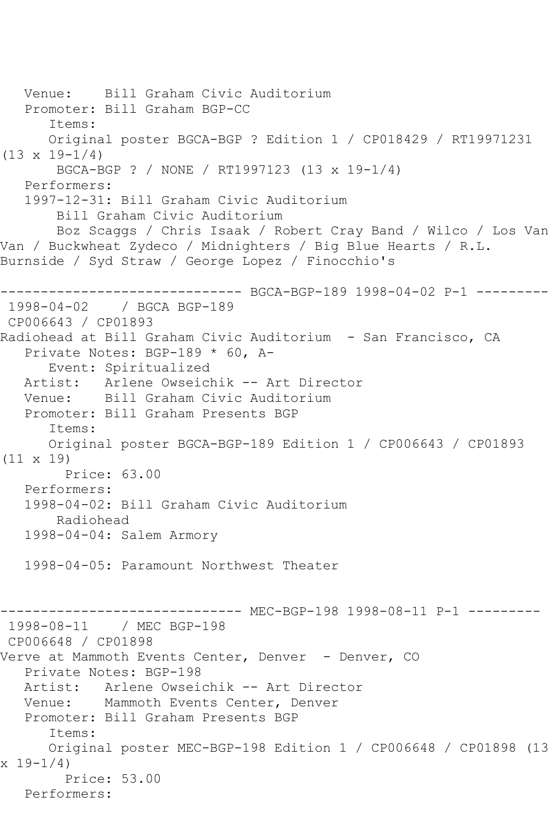Venue: Bill Graham Civic Auditorium Promoter: Bill Graham BGP-CC Items: Original poster BGCA-BGP ? Edition 1 / CP018429 / RT19971231 (13 x 19-1/4) BGCA-BGP ? / NONE / RT1997123 (13 x 19-1/4) Performers: 1997-12-31: Bill Graham Civic Auditorium Bill Graham Civic Auditorium Boz Scaggs / Chris Isaak / Robert Cray Band / Wilco / Los Van Van / Buckwheat Zydeco / Midnighters / Big Blue Hearts / R.L. Burnside / Syd Straw / George Lopez / Finocchio's ------------------------------ BGCA-BGP-189 1998-04-02 P-1 --------- 1998-04-02 / BGCA BGP-189 CP006643 / CP01893 Radiohead at Bill Graham Civic Auditorium - San Francisco, CA Private Notes: BGP-189 \* 60, A- Event: Spiritualized Artist: Arlene Owseichik -- Art Director Venue: Bill Graham Civic Auditorium Promoter: Bill Graham Presents BGP Items: Original poster BGCA-BGP-189 Edition 1 / CP006643 / CP01893 (11 x 19) Price: 63.00 Performers: 1998-04-02: Bill Graham Civic Auditorium Radiohead 1998-04-04: Salem Armory 1998-04-05: Paramount Northwest Theater ------ MEC-BGP-198 1998-08-11 P-1 ---------1998-08-11 / MEC BGP-198 CP006648 / CP01898 Verve at Mammoth Events Center, Denver - Denver, CO Private Notes: BGP-198 Artist: Arlene Owseichik -- Art Director Venue: Mammoth Events Center, Denver Promoter: Bill Graham Presents BGP Items: Original poster MEC-BGP-198 Edition 1 / CP006648 / CP01898 (13 x 19-1/4) Price: 53.00 Performers: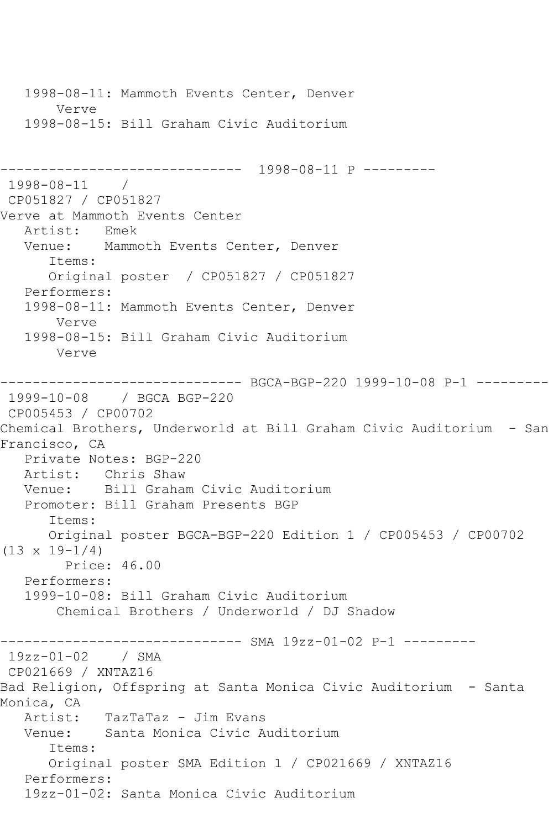1998-08-11: Mammoth Events Center, Denver Verve 1998-08-15: Bill Graham Civic Auditorium ------------------------------ 1998-08-11 P --------- 1998-08-11 / CP051827 / CP051827 Verve at Mammoth Events Center Artist: Emek Venue: Mammoth Events Center, Denver Items: Original poster / CP051827 / CP051827 Performers: 1998-08-11: Mammoth Events Center, Denver Verve 1998-08-15: Bill Graham Civic Auditorium Verve ------------------------------ BGCA-BGP-220 1999-10-08 P-1 --------- 1999-10-08 / BGCA BGP-220 CP005453 / CP00702 Chemical Brothers, Underworld at Bill Graham Civic Auditorium - San Francisco, CA Private Notes: BGP-220 Artist: Chris Shaw Venue: Bill Graham Civic Auditorium Promoter: Bill Graham Presents BGP Items: Original poster BGCA-BGP-220 Edition 1 / CP005453 / CP00702  $(13 \times 19 - 1/4)$  Price: 46.00 Performers: 1999-10-08: Bill Graham Civic Auditorium Chemical Brothers / Underworld / DJ Shadow ------------------------------ SMA 19zz-01-02 P-1 --------- 19zz-01-02 / SMA CP021669 / XNTAZ16 Bad Religion, Offspring at Santa Monica Civic Auditorium - Santa Monica, CA Artist: TazTaTaz - Jim Evans Venue: Santa Monica Civic Auditorium Items: Original poster SMA Edition 1 / CP021669 / XNTAZ16 Performers: 19zz-01-02: Santa Monica Civic Auditorium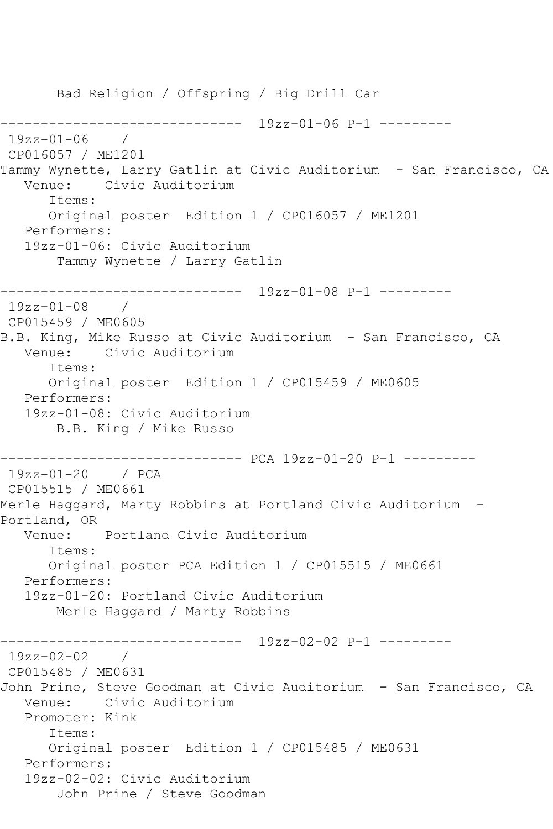```
 Bad Religion / Offspring / Big Drill Car
------------------------------ 19zz-01-06 P-1 ---------
19zz-01-06 / 
CP016057 / ME1201
Tammy Wynette, Larry Gatlin at Civic Auditorium - San Francisco, CA
   Venue: Civic Auditorium
      Items:
      Original poster Edition 1 / CP016057 / ME1201
   Performers:
   19zz-01-06: Civic Auditorium
       Tammy Wynette / Larry Gatlin
------------------------------ 19zz-01-08 P-1 ---------
19zz-01-08 / 
CP015459 / ME0605
B.B. King, Mike Russo at Civic Auditorium - San Francisco, CA
   Venue: Civic Auditorium
      Items:
      Original poster Edition 1 / CP015459 / ME0605
   Performers:
   19zz-01-08: Civic Auditorium
       B.B. King / Mike Russo
     ------------------------------ PCA 19zz-01-20 P-1 ---------
19zz-01-20 / PCA 
CP015515 / ME0661
Merle Haggard, Marty Robbins at Portland Civic Auditorium -
Portland, OR
   Venue: Portland Civic Auditorium
      Items:
      Original poster PCA Edition 1 / CP015515 / ME0661
   Performers:
   19zz-01-20: Portland Civic Auditorium
       Merle Haggard / Marty Robbins
------------------------------ 19zz-02-02 P-1 ---------
19zz-02-02 / 
CP015485 / ME0631
John Prine, Steve Goodman at Civic Auditorium - San Francisco, CA
   Venue: Civic Auditorium
   Promoter: Kink
      Items:
      Original poster Edition 1 / CP015485 / ME0631
   Performers:
   19zz-02-02: Civic Auditorium
       John Prine / Steve Goodman
```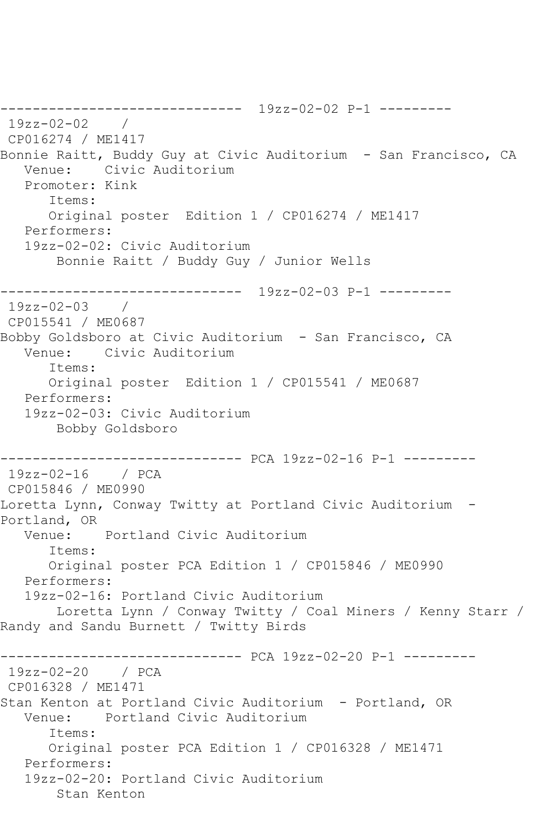------------------------------ 19zz-02-02 P-1 --------- 19zz-02-02 / CP016274 / ME1417 Bonnie Raitt, Buddy Guy at Civic Auditorium - San Francisco, CA Venue: Civic Auditorium Promoter: Kink Items: Original poster Edition 1 / CP016274 / ME1417 Performers: 19zz-02-02: Civic Auditorium Bonnie Raitt / Buddy Guy / Junior Wells ------------------------------ 19zz-02-03 P-1 --------- 19zz-02-03 / CP015541 / ME0687 Bobby Goldsboro at Civic Auditorium - San Francisco, CA Venue: Civic Auditorium Items: Original poster Edition 1 / CP015541 / ME0687 Performers: 19zz-02-03: Civic Auditorium Bobby Goldsboro ------------------------------ PCA 19zz-02-16 P-1 --------- 19zz-02-16 / PCA CP015846 / ME0990 Loretta Lynn, Conway Twitty at Portland Civic Auditorium - Portland, OR Venue: Portland Civic Auditorium Items: Original poster PCA Edition 1 / CP015846 / ME0990 Performers: 19zz-02-16: Portland Civic Auditorium Loretta Lynn / Conway Twitty / Coal Miners / Kenny Starr / Randy and Sandu Burnett / Twitty Birds ------------------------------ PCA 19zz-02-20 P-1 --------- 19zz-02-20 / PCA CP016328 / ME1471 Stan Kenton at Portland Civic Auditorium - Portland, OR Venue: Portland Civic Auditorium Items: Original poster PCA Edition 1 / CP016328 / ME1471 Performers: 19zz-02-20: Portland Civic Auditorium Stan Kenton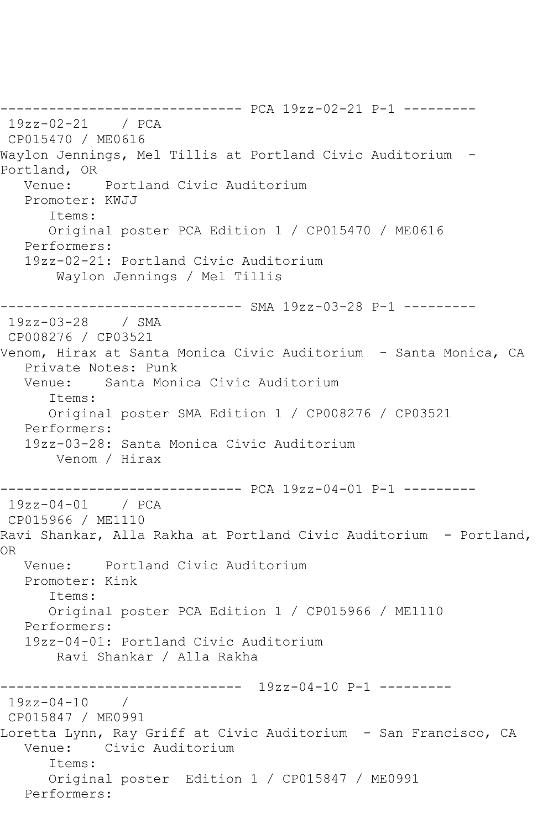------------------------------ PCA 19zz-02-21 P-1 --------- 19zz-02-21 / PCA CP015470 / ME0616 Waylon Jennings, Mel Tillis at Portland Civic Auditorium - Portland, OR Venue: Portland Civic Auditorium Promoter: KWJJ Items: Original poster PCA Edition 1 / CP015470 / ME0616 Performers: 19zz-02-21: Portland Civic Auditorium Waylon Jennings / Mel Tillis ------------------------------ SMA 19zz-03-28 P-1 --------- 19zz-03-28 / SMA CP008276 / CP03521 Venom, Hirax at Santa Monica Civic Auditorium - Santa Monica, CA Private Notes: Punk Venue: Santa Monica Civic Auditorium Items: Original poster SMA Edition 1 / CP008276 / CP03521 Performers: 19zz-03-28: Santa Monica Civic Auditorium Venom / Hirax ------------------------------ PCA 19zz-04-01 P-1 --------- 19zz-04-01 / PCA CP015966 / ME1110 Ravi Shankar, Alla Rakha at Portland Civic Auditorium - Portland, OR Venue: Portland Civic Auditorium Promoter: Kink Items: Original poster PCA Edition 1 / CP015966 / ME1110 Performers: 19zz-04-01: Portland Civic Auditorium Ravi Shankar / Alla Rakha ------------------------------ 19zz-04-10 P-1 ---------  $19zz - 04 - 10$  / CP015847 / ME0991 Loretta Lynn, Ray Griff at Civic Auditorium - San Francisco, CA<br>Venue: Civic Auditorium Civic Auditorium Items: Original poster Edition 1 / CP015847 / ME0991 Performers: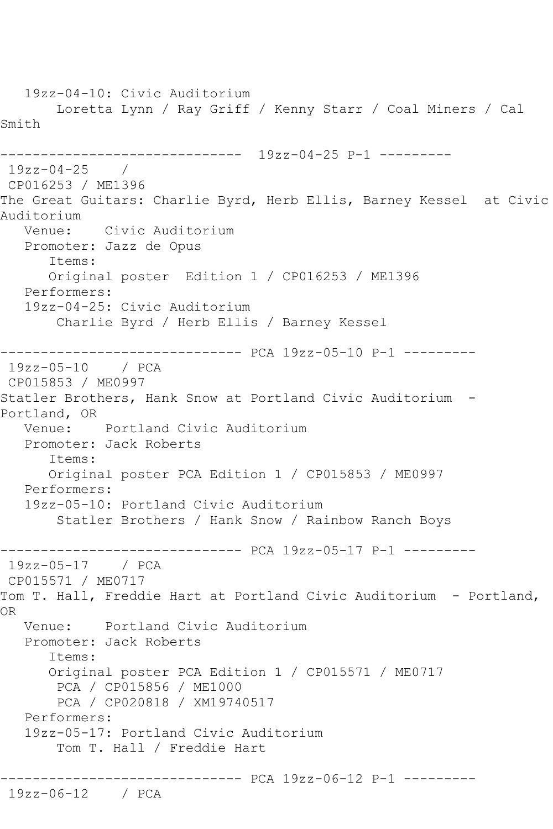19zz-04-10: Civic Auditorium Loretta Lynn / Ray Griff / Kenny Starr / Coal Miners / Cal Smith ------------------------------ 19zz-04-25 P-1 --------- 19zz-04-25 / CP016253 / ME1396 The Great Guitars: Charlie Byrd, Herb Ellis, Barney Kessel at Civic Auditorium Venue: Civic Auditorium Promoter: Jazz de Opus Items: Original poster Edition 1 / CP016253 / ME1396 Performers: 19zz-04-25: Civic Auditorium Charlie Byrd / Herb Ellis / Barney Kessel ------------------------------ PCA 19zz-05-10 P-1 --------- 19zz-05-10 / PCA CP015853 / ME0997 Statler Brothers, Hank Snow at Portland Civic Auditorium - Portland, OR Venue: Portland Civic Auditorium Promoter: Jack Roberts Items: Original poster PCA Edition 1 / CP015853 / ME0997 Performers: 19zz-05-10: Portland Civic Auditorium Statler Brothers / Hank Snow / Rainbow Ranch Boys ------------------------------ PCA 19zz-05-17 P-1 --------- 19zz-05-17 / PCA CP015571 / ME0717 Tom T. Hall, Freddie Hart at Portland Civic Auditorium - Portland, OR Venue: Portland Civic Auditorium Promoter: Jack Roberts Items: Original poster PCA Edition 1 / CP015571 / ME0717 PCA / CP015856 / ME1000 PCA / CP020818 / XM19740517 Performers: 19zz-05-17: Portland Civic Auditorium Tom T. Hall / Freddie Hart ------------------------------ PCA 19zz-06-12 P-1 --------- 19zz-06-12 / PCA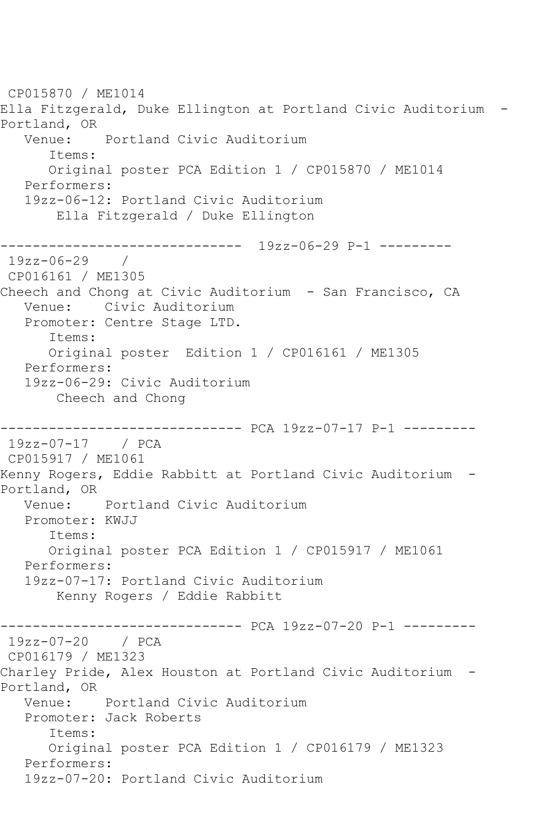CP015870 / ME1014 Ella Fitzgerald, Duke Ellington at Portland Civic Auditorium - Portland, OR<br>Venue: Portland Civic Auditorium Items: Original poster PCA Edition 1 / CP015870 / ME1014 Performers: 19zz-06-12: Portland Civic Auditorium Ella Fitzgerald / Duke Ellington ------------------------------ 19zz-06-29 P-1 --------- 19zz-06-29 / CP016161 / ME1305 Cheech and Chong at Civic Auditorium - San Francisco, CA Venue: Civic Auditorium Promoter: Centre Stage LTD. Items: Original poster Edition 1 / CP016161 / ME1305 Performers: 19zz-06-29: Civic Auditorium Cheech and Chong ------------------------------ PCA 19zz-07-17 P-1 --------- 19zz-07-17 / PCA CP015917 / ME1061 Kenny Rogers, Eddie Rabbitt at Portland Civic Auditorium - Portland, OR Venue: Portland Civic Auditorium Promoter: KWJJ Items: Original poster PCA Edition 1 / CP015917 / ME1061 Performers: 19zz-07-17: Portland Civic Auditorium Kenny Rogers / Eddie Rabbitt ------------------------------ PCA 19zz-07-20 P-1 --------- 19zz-07-20 / PCA CP016179 / ME1323 Charley Pride, Alex Houston at Portland Civic Auditorium - Portland, OR<br>Venue: Portland Civic Auditorium Promoter: Jack Roberts Items: Original poster PCA Edition 1 / CP016179 / ME1323 Performers: 19zz-07-20: Portland Civic Auditorium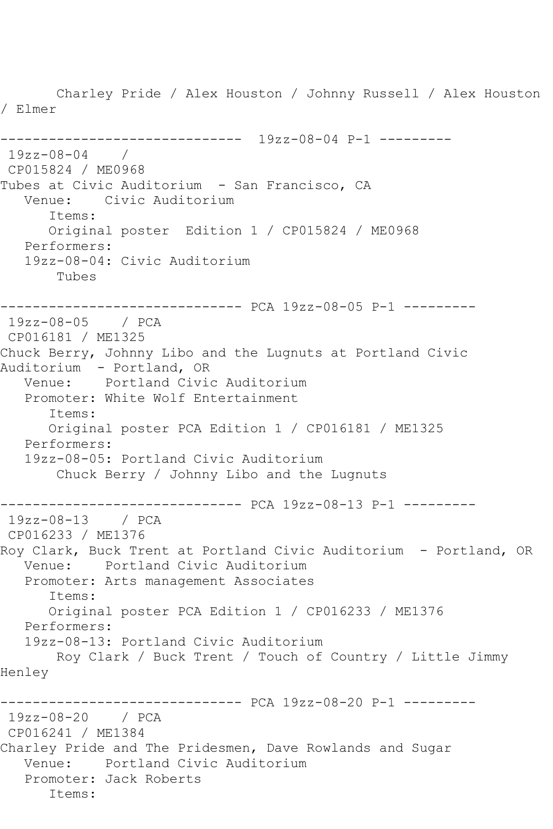Charley Pride / Alex Houston / Johnny Russell / Alex Houston / Elmer ------------------------------ 19zz-08-04 P-1 --------- 19zz-08-04 / CP015824 / ME0968 Tubes at Civic Auditorium - San Francisco, CA Venue: Civic Auditorium Items: Original poster Edition 1 / CP015824 / ME0968 Performers: 19zz-08-04: Civic Auditorium Tubes ------------------------------ PCA 19zz-08-05 P-1 --------- 19zz-08-05 / PCA CP016181 / ME1325 Chuck Berry, Johnny Libo and the Lugnuts at Portland Civic Auditorium - Portland, OR<br>Venue: Portland Civio Portland Civic Auditorium Promoter: White Wolf Entertainment Items: Original poster PCA Edition 1 / CP016181 / ME1325 Performers: 19zz-08-05: Portland Civic Auditorium Chuck Berry / Johnny Libo and the Lugnuts ------------------------------ PCA 19zz-08-13 P-1 --------- 19zz-08-13 / PCA CP016233 / ME1376 Roy Clark, Buck Trent at Portland Civic Auditorium - Portland, OR Venue: Portland Civic Auditorium Promoter: Arts management Associates Items: Original poster PCA Edition 1 / CP016233 / ME1376 Performers: 19zz-08-13: Portland Civic Auditorium Roy Clark / Buck Trent / Touch of Country / Little Jimmy Henley ------------------------------ PCA 19zz-08-20 P-1 --------- 19zz-08-20 / PCA CP016241 / ME1384 Charley Pride and The Pridesmen, Dave Rowlands and Sugar Venue: Portland Civic Auditorium Promoter: Jack Roberts Items: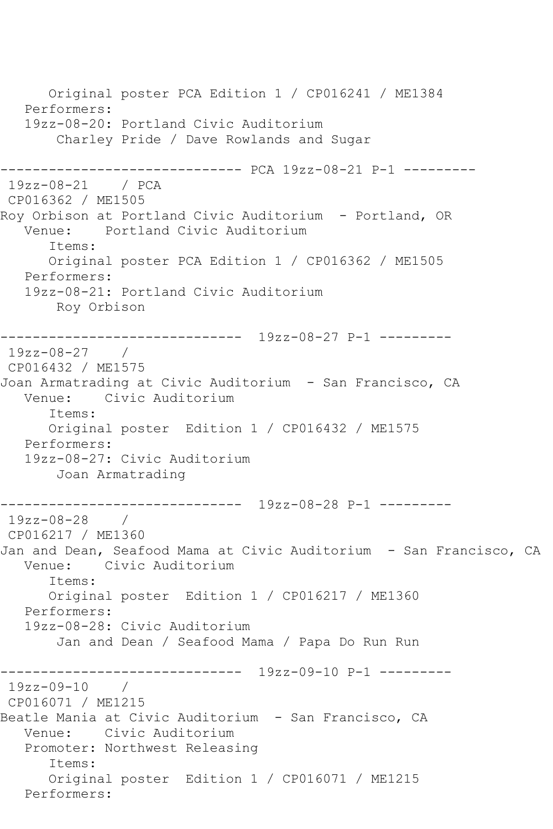Original poster PCA Edition 1 / CP016241 / ME1384 Performers: 19zz-08-20: Portland Civic Auditorium Charley Pride / Dave Rowlands and Sugar ------------------------------ PCA 19zz-08-21 P-1 --------- 19zz-08-21 / PCA CP016362 / ME1505 Roy Orbison at Portland Civic Auditorium - Portland, OR Venue: Portland Civic Auditorium Items: Original poster PCA Edition 1 / CP016362 / ME1505 Performers: 19zz-08-21: Portland Civic Auditorium Roy Orbison ------------------------------ 19zz-08-27 P-1 --------- 19zz-08-27 / CP016432 / ME1575 Joan Armatrading at Civic Auditorium - San Francisco, CA Venue: Civic Auditorium Items: Original poster Edition 1 / CP016432 / ME1575 Performers: 19zz-08-27: Civic Auditorium Joan Armatrading ------------------------------ 19zz-08-28 P-1 --------- 19zz-08-28 / CP016217 / ME1360 Jan and Dean, Seafood Mama at Civic Auditorium - San Francisco, CA Venue: Civic Auditorium Items: Original poster Edition 1 / CP016217 / ME1360 Performers: 19zz-08-28: Civic Auditorium Jan and Dean / Seafood Mama / Papa Do Run Run ------------------------------ 19zz-09-10 P-1 --------- 19zz-09-10 / CP016071 / ME1215 Beatle Mania at Civic Auditorium - San Francisco, CA Venue: Civic Auditorium Promoter: Northwest Releasing Items: Original poster Edition 1 / CP016071 / ME1215 Performers: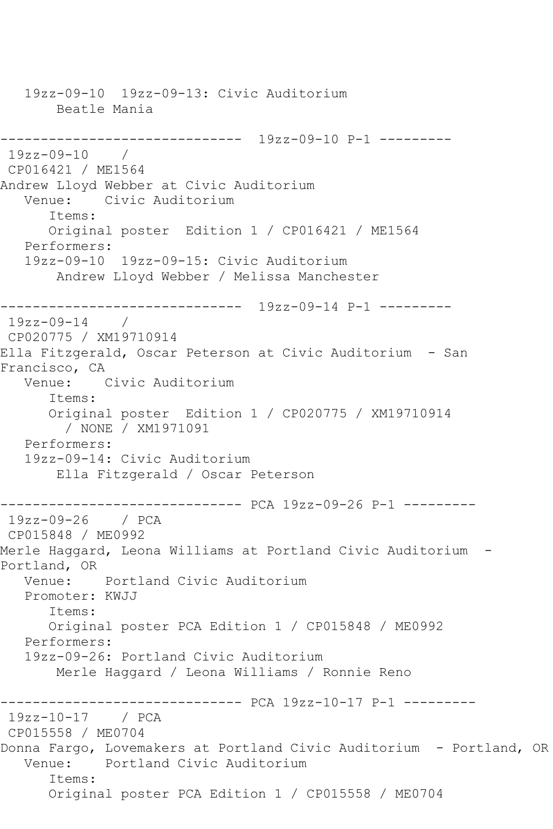19zz-09-10 19zz-09-13: Civic Auditorium Beatle Mania ------------------------------ 19zz-09-10 P-1 --------- 19zz-09-10 / CP016421 / ME1564 Andrew Lloyd Webber at Civic Auditorium Civic Auditorium Items: Original poster Edition 1 / CP016421 / ME1564 Performers: 19zz-09-10 19zz-09-15: Civic Auditorium Andrew Lloyd Webber / Melissa Manchester ------------------------------ 19zz-09-14 P-1 --------- 19zz-09-14 / CP020775 / XM19710914 Ella Fitzgerald, Oscar Peterson at Civic Auditorium - San Francisco, CA Venue: Civic Auditorium Items: Original poster Edition 1 / CP020775 / XM19710914 / NONE / XM1971091 Performers: 19zz-09-14: Civic Auditorium Ella Fitzgerald / Oscar Peterson ------------------------------ PCA 19zz-09-26 P-1 --------- 19zz-09-26 / PCA CP015848 / ME0992 Merle Haggard, Leona Williams at Portland Civic Auditorium - Portland, OR Venue: Portland Civic Auditorium Promoter: KWJJ Items: Original poster PCA Edition 1 / CP015848 / ME0992 Performers: 19zz-09-26: Portland Civic Auditorium Merle Haggard / Leona Williams / Ronnie Reno ------------------------------ PCA 19zz-10-17 P-1 --------- 19zz-10-17 / PCA CP015558 / ME0704 Donna Fargo, Lovemakers at Portland Civic Auditorium - Portland, OR Venue: Portland Civic Auditorium Items: Original poster PCA Edition 1 / CP015558 / ME0704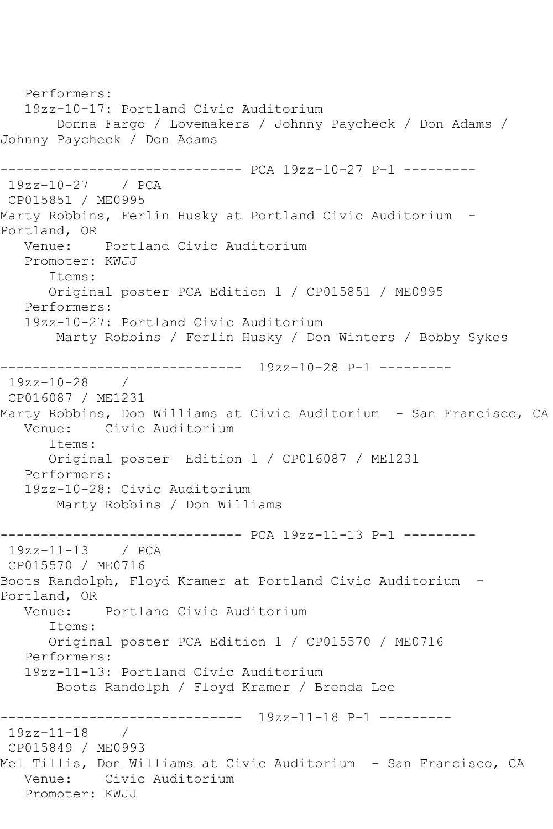```
 Performers:
   19zz-10-17: Portland Civic Auditorium
       Donna Fargo / Lovemakers / Johnny Paycheck / Don Adams / 
Johnny Paycheck / Don Adams
------------------------------ PCA 19zz-10-27 P-1 ---------
19zz-10-27 / PCA 
CP015851 / ME0995
Marty Robbins, Ferlin Husky at Portland Civic Auditorium -
Portland, OR
   Venue: Portland Civic Auditorium
   Promoter: KWJJ
      Items:
      Original poster PCA Edition 1 / CP015851 / ME0995
   Performers:
   19zz-10-27: Portland Civic Auditorium
       Marty Robbins / Ferlin Husky / Don Winters / Bobby Sykes
------------------------------ 19zz-10-28 P-1 ---------
19zz-10-28 / 
CP016087 / ME1231
Marty Robbins, Don Williams at Civic Auditorium - San Francisco, CA
   Venue: Civic Auditorium
      Items:
      Original poster Edition 1 / CP016087 / ME1231
   Performers:
   19zz-10-28: Civic Auditorium
       Marty Robbins / Don Williams
------------------------------ PCA 19zz-11-13 P-1 ---------
19zz-11-13 / PCA 
CP015570 / ME0716
Boots Randolph, Floyd Kramer at Portland Civic Auditorium -
Portland, OR
   Venue: Portland Civic Auditorium
      Items:
      Original poster PCA Edition 1 / CP015570 / ME0716
   Performers:
   19zz-11-13: Portland Civic Auditorium
       Boots Randolph / Floyd Kramer / Brenda Lee
------------------------------ 19zz-11-18 P-1 ---------
19zz-11-18 / 
CP015849 / ME0993
Mel Tillis, Don Williams at Civic Auditorium - San Francisco, CA
   Venue: Civic Auditorium
   Promoter: KWJJ
```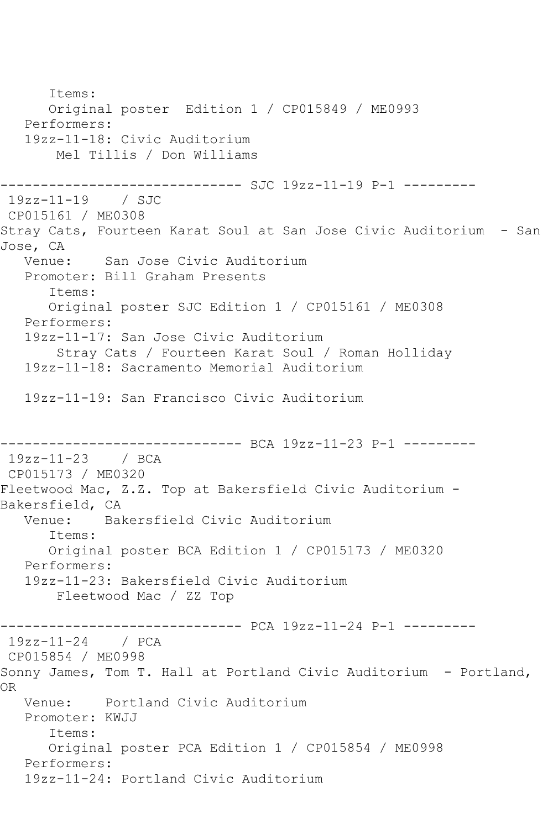Items: Original poster Edition 1 / CP015849 / ME0993 Performers: 19zz-11-18: Civic Auditorium Mel Tillis / Don Williams ------------------------------ SJC 19zz-11-19 P-1 --------- 19zz-11-19 / SJC CP015161 / ME0308 Stray Cats, Fourteen Karat Soul at San Jose Civic Auditorium - San Jose, CA<br>Venue: San Jose Civic Auditorium Promoter: Bill Graham Presents Items: Original poster SJC Edition 1 / CP015161 / ME0308 Performers: 19zz-11-17: San Jose Civic Auditorium Stray Cats / Fourteen Karat Soul / Roman Holliday 19zz-11-18: Sacramento Memorial Auditorium 19zz-11-19: San Francisco Civic Auditorium ------------------------------ BCA 19zz-11-23 P-1 --------- 19zz-11-23 / BCA CP015173 / ME0320 Fleetwood Mac, Z.Z. Top at Bakersfield Civic Auditorium - Bakersfield, CA Venue: Bakersfield Civic Auditorium Items: Original poster BCA Edition 1 / CP015173 / ME0320 Performers: 19zz-11-23: Bakersfield Civic Auditorium Fleetwood Mac / ZZ Top ------------------------------ PCA 19zz-11-24 P-1 --------- 19zz-11-24 / PCA CP015854 / ME0998 Sonny James, Tom T. Hall at Portland Civic Auditorium - Portland, OR Venue: Portland Civic Auditorium Promoter: KWJJ Items: Original poster PCA Edition 1 / CP015854 / ME0998 Performers: 19zz-11-24: Portland Civic Auditorium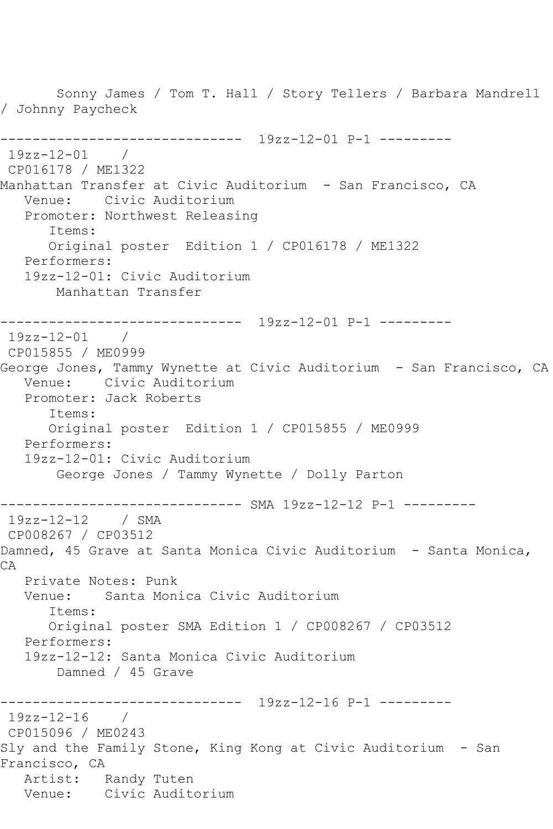Sonny James / Tom T. Hall / Story Tellers / Barbara Mandrell / Johnny Paycheck ------------------------------ 19zz-12-01 P-1 --------- 19zz-12-01 / CP016178 / ME1322 Manhattan Transfer at Civic Auditorium - San Francisco, CA Venue: Civic Auditorium Promoter: Northwest Releasing Items: Original poster Edition 1 / CP016178 / ME1322 Performers: 19zz-12-01: Civic Auditorium Manhattan Transfer ------------------------------ 19zz-12-01 P-1 --------- 19zz-12-01 / CP015855 / ME0999 George Jones, Tammy Wynette at Civic Auditorium - San Francisco, CA Venue: Civic Auditorium Promoter: Jack Roberts Items: Original poster Edition 1 / CP015855 / ME0999 Performers: 19zz-12-01: Civic Auditorium George Jones / Tammy Wynette / Dolly Parton ------------------------------ SMA 19zz-12-12 P-1 --------- 19zz-12-12 / SMA CP008267 / CP03512 Damned, 45 Grave at Santa Monica Civic Auditorium - Santa Monica, CA Private Notes: Punk Venue: Santa Monica Civic Auditorium Items: Original poster SMA Edition 1 / CP008267 / CP03512 Performers: 19zz-12-12: Santa Monica Civic Auditorium Damned / 45 Grave ------------------------------ 19zz-12-16 P-1 --------- 19zz-12-16 / CP015096 / ME0243 Sly and the Family Stone, King Kong at Civic Auditorium - San Francisco, CA Artist: Randy Tuten Venue: Civic Auditorium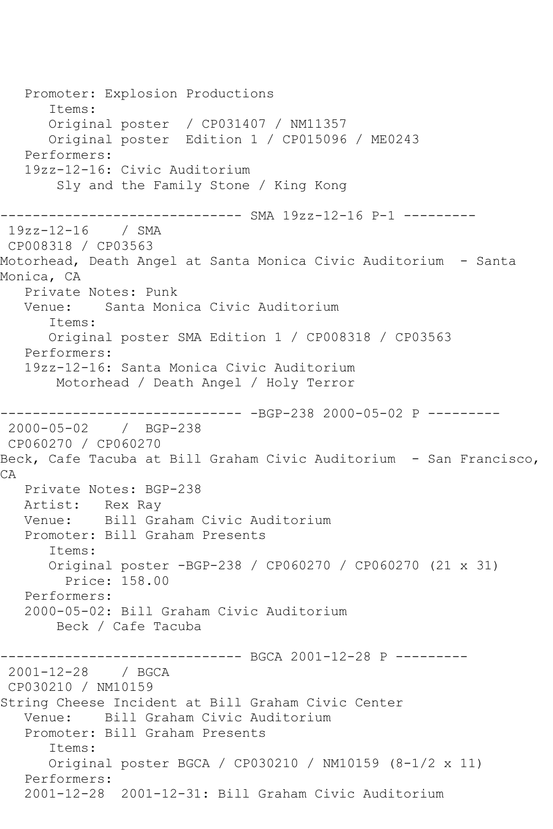Promoter: Explosion Productions Items: Original poster / CP031407 / NM11357 Original poster Edition 1 / CP015096 / ME0243 Performers: 19zz-12-16: Civic Auditorium Sly and the Family Stone / King Kong ------------------------------ SMA 19zz-12-16 P-1 --------- 19zz-12-16 / SMA CP008318 / CP03563 Motorhead, Death Angel at Santa Monica Civic Auditorium - Santa Monica, CA Private Notes: Punk Venue: Santa Monica Civic Auditorium Items: Original poster SMA Edition 1 / CP008318 / CP03563 Performers: 19zz-12-16: Santa Monica Civic Auditorium Motorhead / Death Angel / Holy Terror  $--------BGP-238 2000-05-02 P ------$ 2000-05-02 / BGP-238 CP060270 / CP060270 Beck, Cafe Tacuba at Bill Graham Civic Auditorium - San Francisco, CA Private Notes: BGP-238 Artist: Rex Ray Venue: Bill Graham Civic Auditorium Promoter: Bill Graham Presents Items: Original poster -BGP-238 / CP060270 / CP060270 (21 x 31) Price: 158.00 Performers: 2000-05-02: Bill Graham Civic Auditorium Beck / Cafe Tacuba ------------------------------ BGCA 2001-12-28 P --------- 2001-12-28 / BGCA CP030210 / NM10159 String Cheese Incident at Bill Graham Civic Center Venue: Bill Graham Civic Auditorium Promoter: Bill Graham Presents Items: Original poster BGCA / CP030210 / NM10159 (8-1/2 x 11) Performers: 2001-12-28 2001-12-31: Bill Graham Civic Auditorium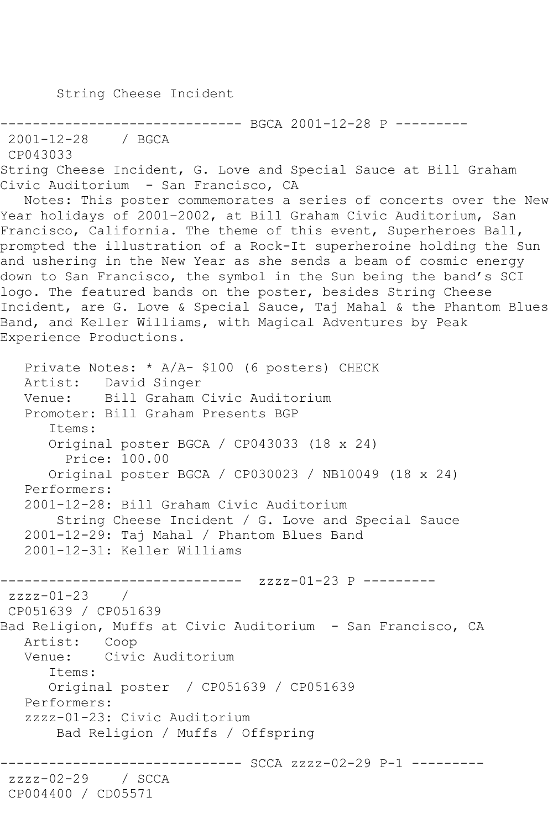String Cheese Incident

```
---------- BGCA 2001-12-28 P ---------
```

```
2001-12-28 / BGCA
```

```
CP043033
```
String Cheese Incident, G. Love and Special Sauce at Bill Graham Civic Auditorium - San Francisco, CA

 Notes: This poster commemorates a series of concerts over the New Year holidays of 2001–2002, at Bill Graham Civic Auditorium, San Francisco, California. The theme of this event, Superheroes Ball, prompted the illustration of a Rock-It superheroine holding the Sun and ushering in the New Year as she sends a beam of cosmic energy down to San Francisco, the symbol in the Sun being the band's SCI logo. The featured bands on the poster, besides String Cheese Incident, are G. Love & Special Sauce, Taj Mahal & the Phantom Blues Band, and Keller Williams, with Magical Adventures by Peak Experience Productions.

```
 Private Notes: * A/A- $100 (6 posters) CHECK
   Artist: David Singer
   Venue: Bill Graham Civic Auditorium
   Promoter: Bill Graham Presents BGP
       Items:
       Original poster BGCA / CP043033 (18 x 24)
         Price: 100.00
       Original poster BGCA / CP030023 / NB10049 (18 x 24)
   Performers:
   2001-12-28: Bill Graham Civic Auditorium
        String Cheese Incident / G. Love and Special Sauce
   2001-12-29: Taj Mahal / Phantom Blues Band
   2001-12-31: Keller Williams
     ------------------------------ zzzz-01-23 P ---------
zzzz-01-23CP051639 / CP051639
Bad Religion, Muffs at Civic Auditorium - San Francisco, CA
   Artist: Coop
   Venue: Civic Auditorium
       Items:
       Original poster / CP051639 / CP051639
   Performers:
   zzzz-01-23: Civic Auditorium
        Bad Religion / Muffs / Offspring
                 ------------------------------ SCCA zzzz-02-29 P-1 ---------
zzzz-02-29 / SCCA 
CP004400 / CD05571
```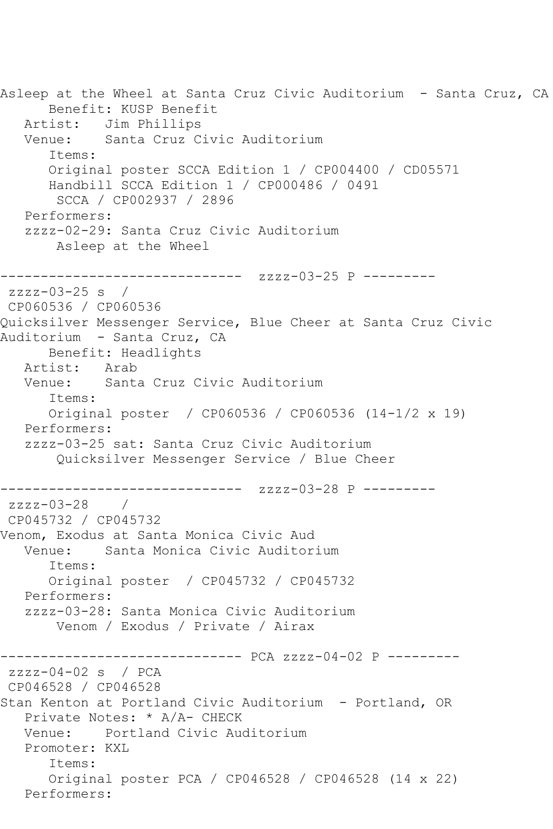Asleep at the Wheel at Santa Cruz Civic Auditorium - Santa Cruz, CA Benefit: KUSP Benefit Artist: Jim Phillips Venue: Santa Cruz Civic Auditorium Items: Original poster SCCA Edition 1 / CP004400 / CD05571 Handbill SCCA Edition 1 / CP000486 / 0491 SCCA / CP002937 / 2896 Performers: zzzz-02-29: Santa Cruz Civic Auditorium Asleep at the Wheel ------------------------------ zzzz-03-25 P -------- zzzz-03-25 s / CP060536 / CP060536 Quicksilver Messenger Service, Blue Cheer at Santa Cruz Civic Auditorium - Santa Cruz, CA Benefit: Headlights<br>ist: Arab Artist: Venue: Santa Cruz Civic Auditorium Items: Original poster / CP060536 / CP060536 (14-1/2 x 19) Performers: zzzz-03-25 sat: Santa Cruz Civic Auditorium Quicksilver Messenger Service / Blue Cheer ------------------------------ zzzz-03-28 P -------- zzzz-03-28 / CP045732 / CP045732 Venom, Exodus at Santa Monica Civic Aud Venue: Santa Monica Civic Auditorium Items: Original poster / CP045732 / CP045732 Performers: zzzz-03-28: Santa Monica Civic Auditorium Venom / Exodus / Private / Airax ------------------------------ PCA zzzz-04-02 P --------  $zzzz-04-02$  s / PCA CP046528 / CP046528 Stan Kenton at Portland Civic Auditorium - Portland, OR Private Notes: \* A/A- CHECK Venue: Portland Civic Auditorium Promoter: KXL Items: Original poster PCA / CP046528 / CP046528 (14 x 22) Performers: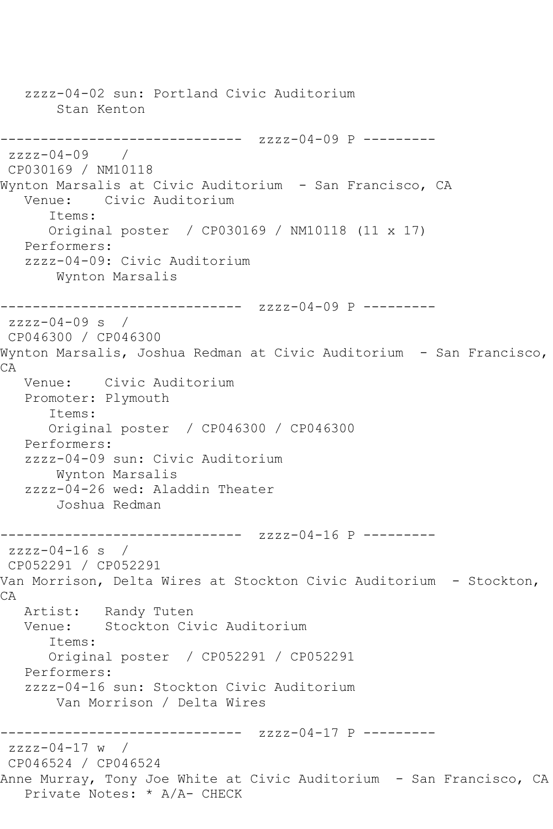zzzz-04-02 sun: Portland Civic Auditorium Stan Kenton ------------------------------ zzzz-04-09 P -------- zzzz-04-09 / CP030169 / NM10118 Wynton Marsalis at Civic Auditorium – San Francisco, CA<br>Venue: Civic Auditorium Civic Auditorium Items: Original poster / CP030169 / NM10118 (11 x 17) Performers: zzzz-04-09: Civic Auditorium Wynton Marsalis ------------------------------ zzzz-04-09 P -------- zzzz-04-09 s / CP046300 / CP046300 Wynton Marsalis, Joshua Redman at Civic Auditorium - San Francisco, CA Venue: Civic Auditorium Promoter: Plymouth Items: Original poster / CP046300 / CP046300 Performers: zzzz-04-09 sun: Civic Auditorium Wynton Marsalis zzzz-04-26 wed: Aladdin Theater Joshua Redman ------------------------------ zzzz-04-16 P -------- zzzz-04-16 s / CP052291 / CP052291 Van Morrison, Delta Wires at Stockton Civic Auditorium - Stockton, CA Artist: Randy Tuten Venue: Stockton Civic Auditorium Items: Original poster / CP052291 / CP052291 Performers: zzzz-04-16 sun: Stockton Civic Auditorium Van Morrison / Delta Wires ------------------------------ zzzz-04-17 P -------- zzzz-04-17 w / CP046524 / CP046524 Anne Murray, Tony Joe White at Civic Auditorium - San Francisco, CA Private Notes: \* A/A- CHECK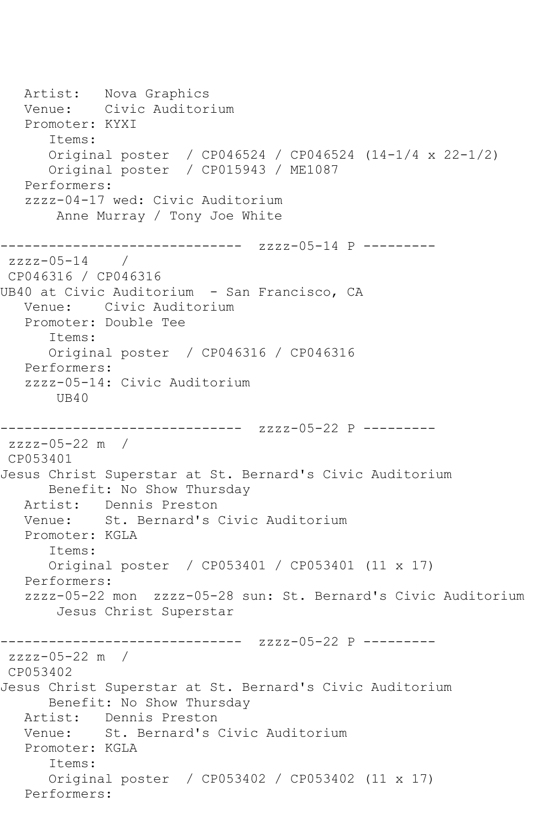Artist: Nova Graphics<br>Venue: Civic Auditor Civic Auditorium Promoter: KYXI Items: Original poster / CP046524 / CP046524 (14-1/4 x 22-1/2) Original poster / CP015943 / ME1087 Performers: zzzz-04-17 wed: Civic Auditorium Anne Murray / Tony Joe White ------------------------------ zzzz-05-14 P -------- zzzz-05-14 / CP046316 / CP046316 UB40 at Civic Auditorium - San Francisco, CA Venue: Civic Auditorium Promoter: Double Tee Items: Original poster / CP046316 / CP046316 Performers: zzzz-05-14: Civic Auditorium UB40 ------------------------------ zzzz-05-22 P -------- zzzz-05-22 m / CP053401 Jesus Christ Superstar at St. Bernard's Civic Auditorium Benefit: No Show Thursday Artist: Dennis Preston Venue: St. Bernard's Civic Auditorium Promoter: KGLA Items: Original poster / CP053401 / CP053401 (11 x 17) Performers: zzzz-05-22 mon zzzz-05-28 sun: St. Bernard's Civic Auditorium Jesus Christ Superstar ------------------------------ zzzz-05-22 P -------- zzzz-05-22 m / CP053402 Jesus Christ Superstar at St. Bernard's Civic Auditorium Benefit: No Show Thursday Artist: Dennis Preston Venue: St. Bernard's Civic Auditorium Promoter: KGLA Items: Original poster / CP053402 / CP053402 (11 x 17) Performers: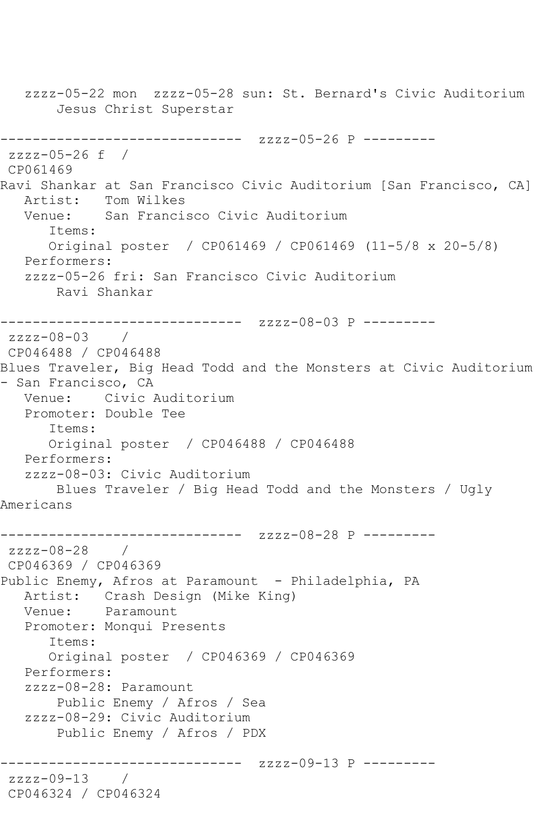zzzz-05-22 mon zzzz-05-28 sun: St. Bernard's Civic Auditorium Jesus Christ Superstar ------------------------------ zzzz-05-26 P -------- zzzz-05-26 f / CP061469 Ravi Shankar at San Francisco Civic Auditorium [San Francisco, CA]<br>Artist: Tom Wilkes Tom Wilkes Venue: San Francisco Civic Auditorium Items: Original poster / CP061469 / CP061469 (11-5/8 x 20-5/8) Performers: zzzz-05-26 fri: San Francisco Civic Auditorium Ravi Shankar ------------------------------ zzzz-08-03 P -------- zzzz-08-03 / CP046488 / CP046488 Blues Traveler, Big Head Todd and the Monsters at Civic Auditorium - San Francisco, CA Venue: Civic Auditorium Promoter: Double Tee Items: Original poster / CP046488 / CP046488 Performers: zzzz-08-03: Civic Auditorium Blues Traveler / Big Head Todd and the Monsters / Ugly Americans ------------------------------ zzzz-08-28 P -------- zzzz-08-28 / CP046369 / CP046369 Public Enemy, Afros at Paramount - Philadelphia, PA Artist: Crash Design (Mike King) Venue: Paramount Promoter: Monqui Presents Items: Original poster / CP046369 / CP046369 Performers: zzzz-08-28: Paramount Public Enemy / Afros / Sea zzzz-08-29: Civic Auditorium Public Enemy / Afros / PDX ------------------------------ zzzz-09-13 P -------- zzzz-09-13 / CP046324 / CP046324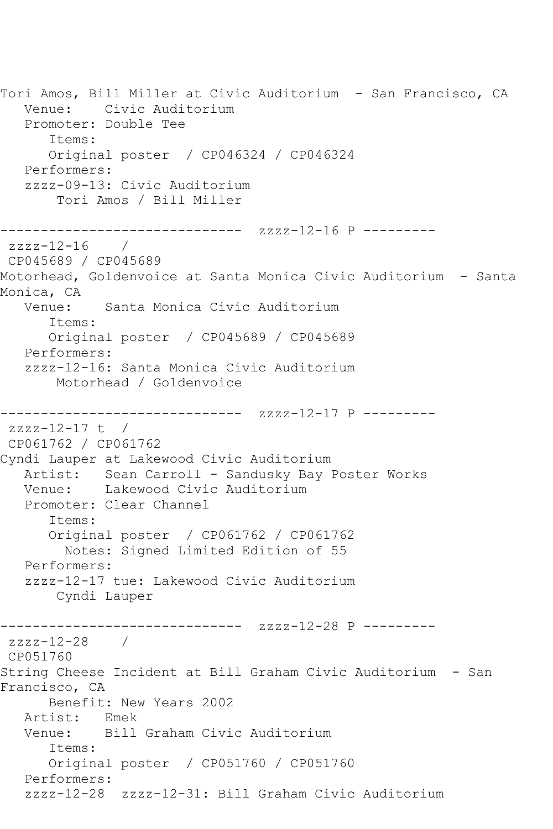Tori Amos, Bill Miller at Civic Auditorium - San Francisco, CA Venue: Civic Auditorium Promoter: Double Tee Items: Original poster / CP046324 / CP046324 Performers: zzzz-09-13: Civic Auditorium Tori Amos / Bill Miller ------------------------------ zzzz-12-16 P -------- zzzz-12-16 / CP045689 / CP045689 Motorhead, Goldenvoice at Santa Monica Civic Auditorium - Santa Monica, CA Venue: Santa Monica Civic Auditorium Items: Original poster / CP045689 / CP045689 Performers: zzzz-12-16: Santa Monica Civic Auditorium Motorhead / Goldenvoice ------------------------------ zzzz-12-17 P --------  $zzzz-12-17$  t / CP061762 / CP061762 Cyndi Lauper at Lakewood Civic Auditorium Artist: Sean Carroll - Sandusky Bay Poster Works Venue: Lakewood Civic Auditorium Promoter: Clear Channel Items: Original poster / CP061762 / CP061762 Notes: Signed Limited Edition of 55 Performers: zzzz-12-17 tue: Lakewood Civic Auditorium Cyndi Lauper ------------------------------ zzzz-12-28 P -------- zzzz-12-28 / CP051760 String Cheese Incident at Bill Graham Civic Auditorium - San Francisco, CA Benefit: New Years 2002 Artist: Emek Venue: Bill Graham Civic Auditorium Items: Original poster / CP051760 / CP051760 Performers: zzzz-12-28 zzzz-12-31: Bill Graham Civic Auditorium